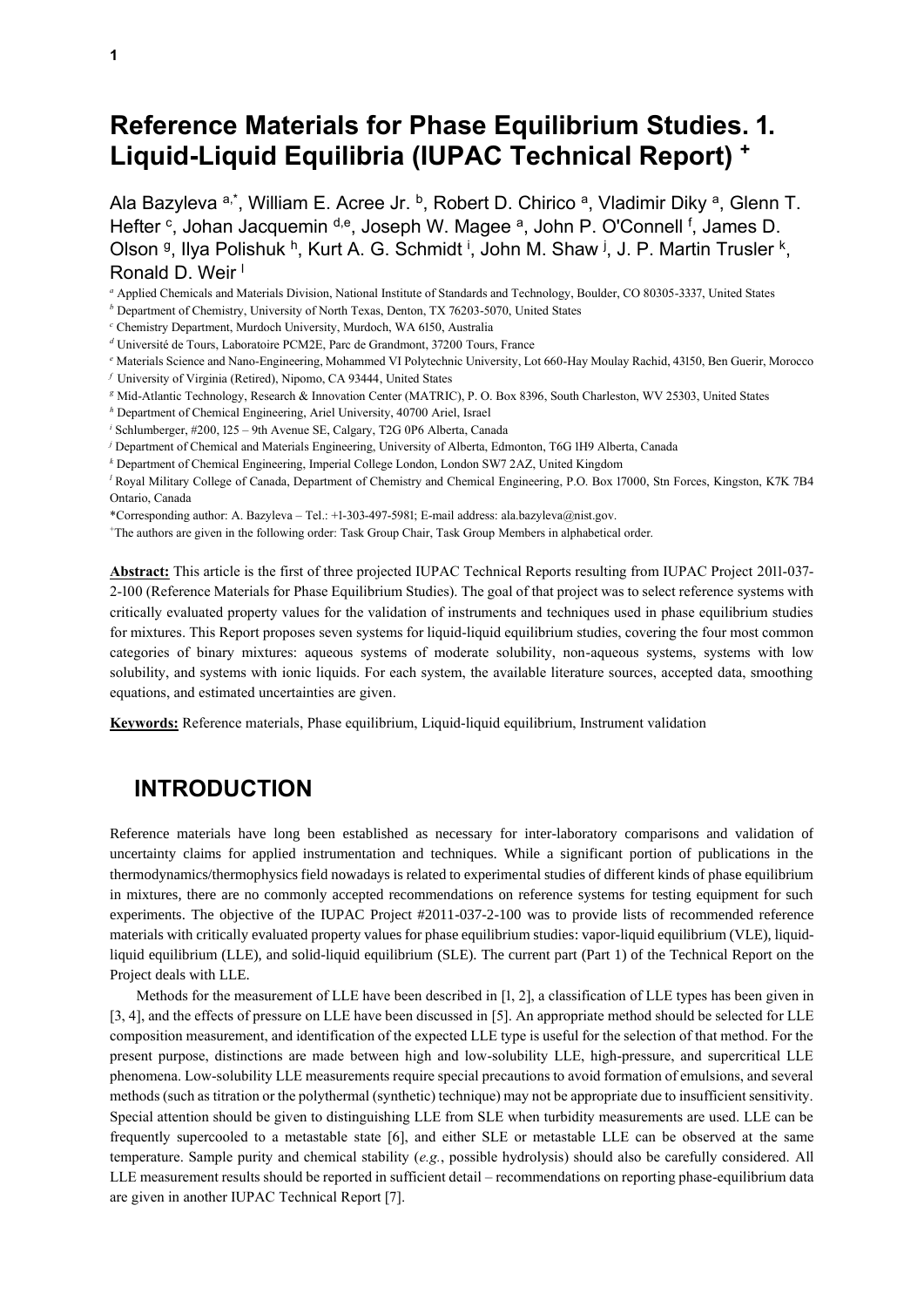# **Reference Materials for Phase Equilibrium Studies. 1. Liquid-Liquid Equilibria (IUPAC Technical Report) +**

Ala Bazyleva a,\*, William E. Acree Jr. b, Robert D. Chirico a, Vladimir Diky a, Glenn T. Hefter <sup>c</sup>, Johan Jacquemin <sup>d,e</sup>, Joseph W. Magee <sup>a</sup>, John P. O'Connell <sup>f</sup>, James D. Olson <sup>g</sup>, Ilya Polishuk <sup>h</sup>, Kurt A. G. Schmidt <sup>i</sup>, John M. Shaw <sup>j</sup>, J. P. Martin Trusler <sup>k</sup>, Ronald D. Weir<sup>1</sup>

*<sup>a</sup>* Applied Chemicals and Materials Division, National Institute of Standards and Technology, Boulder, CO 80305-3337, United States

*<sup>b</sup>* Department of Chemistry, University of North Texas, Denton, TX 76203-5070, United States

- *<sup>c</sup>* Chemistry Department, Murdoch University, Murdoch, WA 6150, Australia
- *<sup>d</sup>* Université de Tours, Laboratoire PCM2E, Parc de Grandmont, 37200 Tours, France
- *<sup>e</sup>* Materials Science and Nano-Engineering, Mohammed VI Polytechnic University, Lot 660-Hay Moulay Rachid, 43150, Ben Guerir, Morocco
- *<sup>f</sup>* University of Virginia (Retired), Nipomo, CA 93444, United States
- *<sup>g</sup>* Mid-Atlantic Technology, Research & Innovation Center (MATRIC), P. O. Box 8396, South Charleston, WV 25303, United States
- *<sup>h</sup>* Department of Chemical Engineering, Ariel University, 40700 Ariel, Israel
- *<sup>i</sup>* Schlumberger, #200, 125 9th Avenue SE, Calgary, T2G 0P6 Alberta, Canada
- *<sup>j</sup>* Department of Chemical and Materials Engineering, University of Alberta, Edmonton, T6G 1H9 Alberta, Canada
- *<sup>k</sup>* Department of Chemical Engineering, Imperial College London, London SW7 2AZ, United Kingdom

*<sup>l</sup>* Royal Military College of Canada, Department of Chemistry and Chemical Engineering, P.O. Box 17000, Stn Forces, Kingston, K7K 7B4 Ontario, Canada

- \*Corresponding author: A. Bazyleva Tel.: +1-303-497-5981; E-mail address: ala.bazyleva@nist.gov.
- <sup>+</sup>The authors are given in the following order: Task Group Chair, Task Group Members in alphabetical order.

**Abstract:** This article is the first of three projected IUPAC Technical Reports resulting from IUPAC Project 2011-037- 2-100 (Reference Materials for Phase Equilibrium Studies). The goal of that project was to select reference systems with critically evaluated property values for the validation of instruments and techniques used in phase equilibrium studies for mixtures. This Report proposes seven systems for liquid-liquid equilibrium studies, covering the four most common categories of binary mixtures: aqueous systems of moderate solubility, non-aqueous systems, systems with low solubility, and systems with ionic liquids. For each system, the available literature sources, accepted data, smoothing equations, and estimated uncertainties are given.

**Keywords:** Reference materials, Phase equilibrium, Liquid-liquid equilibrium, Instrument validation

### **INTRODUCTION**

Reference materials have long been established as necessary for inter-laboratory comparisons and validation of uncertainty claims for applied instrumentation and techniques. While a significant portion of publications in the thermodynamics/thermophysics field nowadays is related to experimental studies of different kinds of phase equilibrium in mixtures, there are no commonly accepted recommendations on reference systems for testing equipment for such experiments. The objective of the IUPAC Project #2011-037-2-100 was to provide lists of recommended reference materials with critically evaluated property values for phase equilibrium studies: vapor-liquid equilibrium (VLE), liquidliquid equilibrium (LLE), and solid-liquid equilibrium (SLE). The current part (Part 1) of the Technical Report on the Project deals with LLE.

Methods for the measurement of LLE have been described in [1, 2], a classification of LLE types has been given in [3, 4], and the effects of pressure on LLE have been discussed in [5]. An appropriate method should be selected for LLE composition measurement, and identification of the expected LLE type is useful for the selection of that method. For the present purpose, distinctions are made between high and low-solubility LLE, high-pressure, and supercritical LLE phenomena. Low-solubility LLE measurements require special precautions to avoid formation of emulsions, and several methods (such as titration or the polythermal (synthetic) technique) may not be appropriate due to insufficient sensitivity. Special attention should be given to distinguishing LLE from SLE when turbidity measurements are used. LLE can be frequently supercooled to a metastable state [6], and either SLE or metastable LLE can be observed at the same temperature. Sample purity and chemical stability (*e.g.*, possible hydrolysis) should also be carefully considered. All LLE measurement results should be reported in sufficient detail – recommendations on reporting phase-equilibrium data are given in another IUPAC Technical Report [7].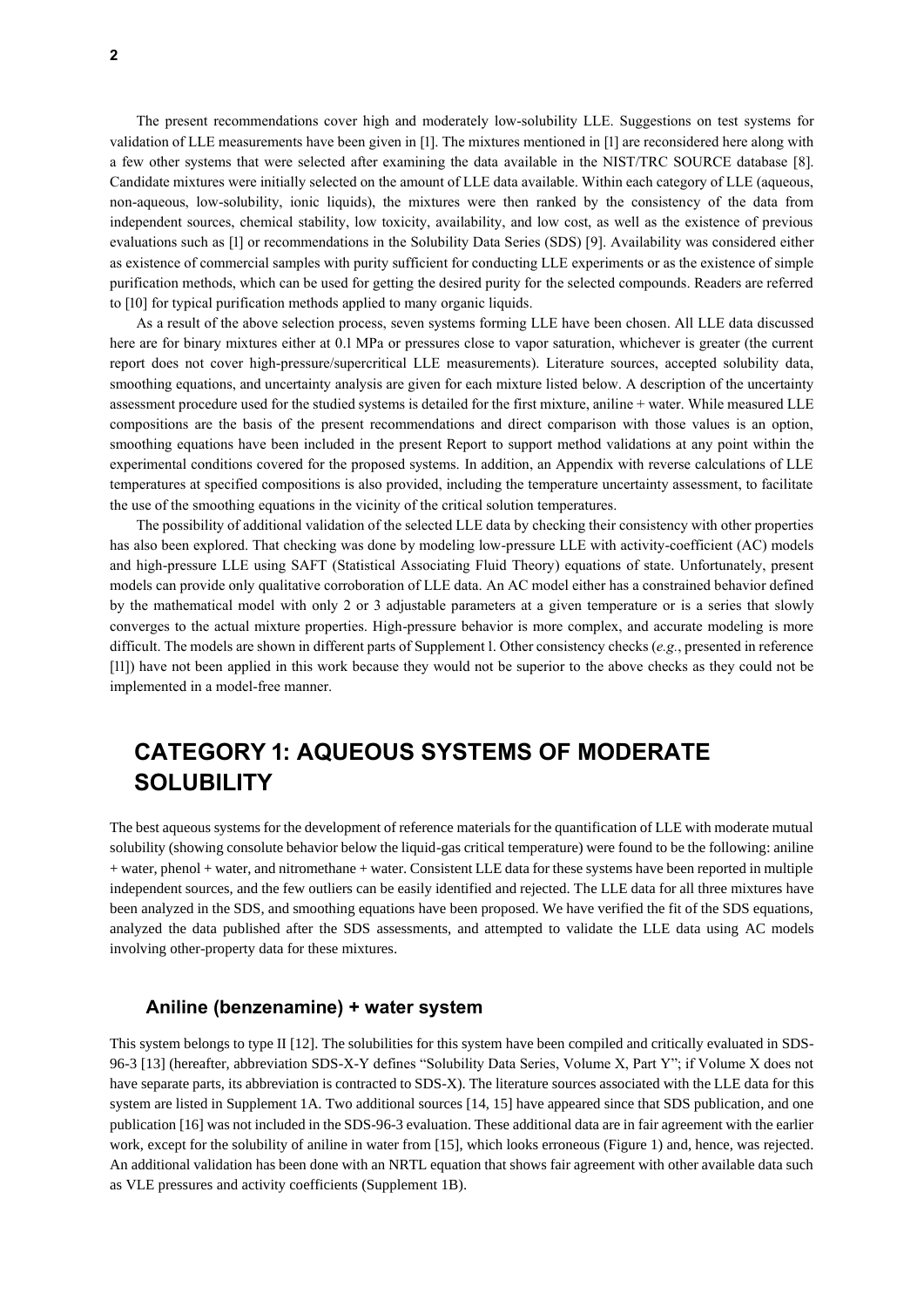The present recommendations cover high and moderately low-solubility LLE. Suggestions on test systems for validation of LLE measurements have been given in [1]. The mixtures mentioned in [1] are reconsidered here along with a few other systems that were selected after examining the data available in the NIST/TRC SOURCE database [8]. Candidate mixtures were initially selected on the amount of LLE data available. Within each category of LLE (aqueous, non-aqueous, low-solubility, ionic liquids), the mixtures were then ranked by the consistency of the data from independent sources, chemical stability, low toxicity, availability, and low cost, as well as the existence of previous evaluations such as [1] or recommendations in the Solubility Data Series (SDS) [9]. Availability was considered either as existence of commercial samples with purity sufficient for conducting LLE experiments or as the existence of simple purification methods, which can be used for getting the desired purity for the selected compounds. Readers are referred to [10] for typical purification methods applied to many organic liquids.

As a result of the above selection process, seven systems forming LLE have been chosen. All LLE data discussed here are for binary mixtures either at 0.1 MPa or pressures close to vapor saturation, whichever is greater (the current report does not cover high-pressure/supercritical LLE measurements). Literature sources, accepted solubility data, smoothing equations, and uncertainty analysis are given for each mixture listed below. A description of the uncertainty assessment procedure used for the studied systems is detailed for the first mixture, aniline + water. While measured LLE compositions are the basis of the present recommendations and direct comparison with those values is an option, smoothing equations have been included in the present Report to support method validations at any point within the experimental conditions covered for the proposed systems. In addition, an Appendix with reverse calculations of LLE temperatures at specified compositions is also provided, including the temperature uncertainty assessment, to facilitate the use of the smoothing equations in the vicinity of the critical solution temperatures.

The possibility of additional validation of the selected LLE data by checking their consistency with other properties has also been explored. That checking was done by modeling low-pressure LLE with activity-coefficient (AC) models and high-pressure LLE using SAFT (Statistical Associating Fluid Theory) equations of state. Unfortunately, present models can provide only qualitative corroboration of LLE data. An AC model either has a constrained behavior defined by the mathematical model with only 2 or 3 adjustable parameters at a given temperature or is a series that slowly converges to the actual mixture properties. High-pressure behavior is more complex, and accurate modeling is more difficult. The models are shown in different parts of Supplement 1. Other consistency checks (*e.g.*, presented in reference [11]) have not been applied in this work because they would not be superior to the above checks as they could not be implemented in a model-free manner.

## **CATEGORY 1: AQUEOUS SYSTEMS OF MODERATE SOLUBILITY**

The best aqueous systems for the development of reference materials for the quantification of LLE with moderate mutual solubility (showing consolute behavior below the liquid-gas critical temperature) were found to be the following: aniline + water, phenol + water, and nitromethane + water. Consistent LLE data for these systems have been reported in multiple independent sources, and the few outliers can be easily identified and rejected. The LLE data for all three mixtures have been analyzed in the SDS, and smoothing equations have been proposed. We have verified the fit of the SDS equations, analyzed the data published after the SDS assessments, and attempted to validate the LLE data using AC models involving other-property data for these mixtures.

#### **Aniline (benzenamine) + water system**

This system belongs to type II [12]. The solubilities for this system have been compiled and critically evaluated in SDS-96-3 [13] (hereafter, abbreviation SDS-X-Y defines "Solubility Data Series, Volume X, Part Y"; if Volume X does not have separate parts, its abbreviation is contracted to SDS-X). The literature sources associated with the LLE data for this system are listed in Supplement 1A. Two additional sources [14, 15] have appeared since that SDS publication, and one publication [16] was not included in the SDS-96-3 evaluation. These additional data are in fair agreement with the earlier work, except for the solubility of aniline in water from [15], which looks erroneous (Figure 1) and, hence, was rejected. An additional validation has been done with an NRTL equation that shows fair agreement with other available data such as VLE pressures and activity coefficients (Supplement 1B).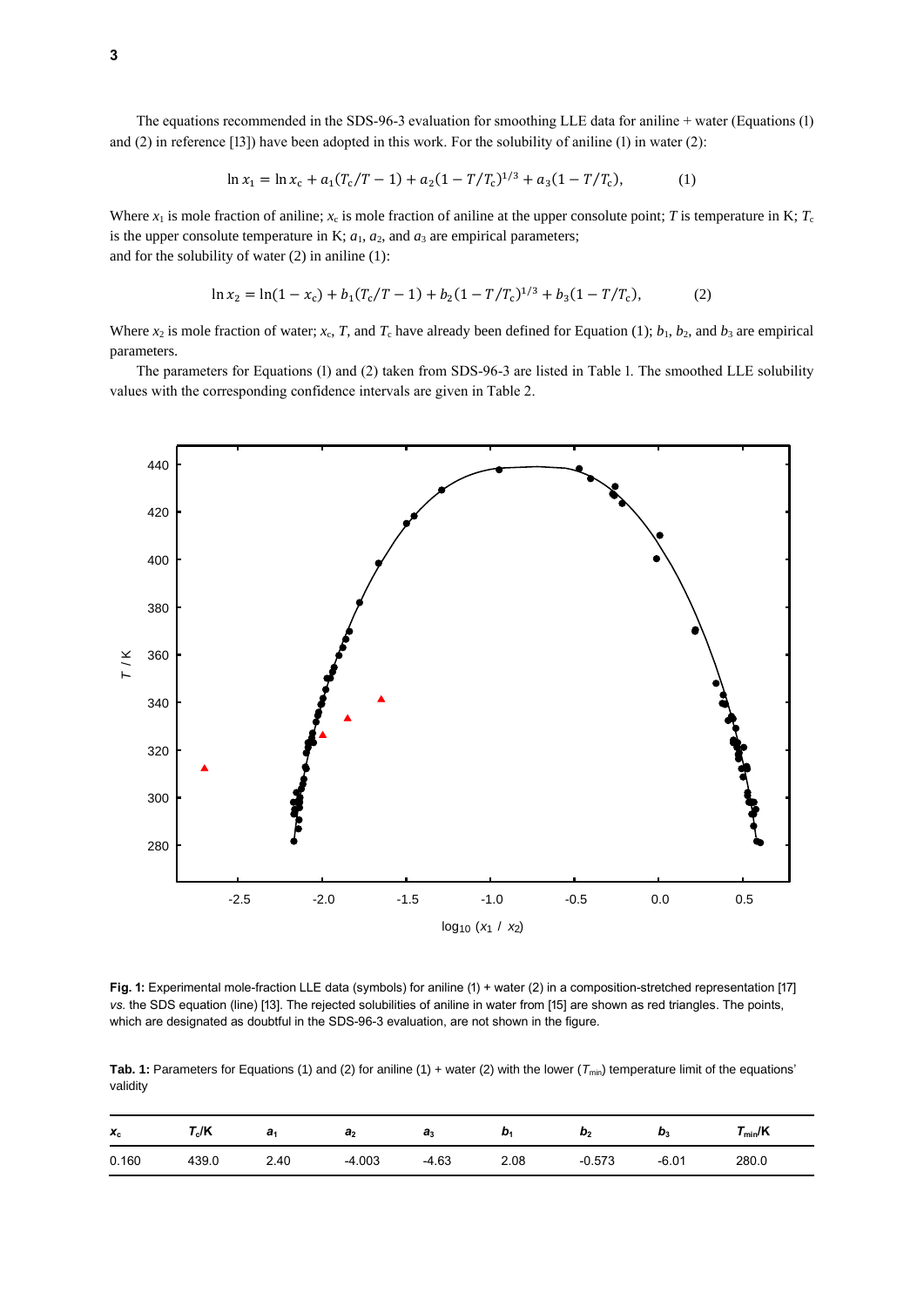The equations recommended in the SDS-96-3 evaluation for smoothing LLE data for aniline + water (Equations (1) and (2) in reference [13]) have been adopted in this work. For the solubility of aniline (1) in water (2):

$$
\ln x_1 = \ln x_c + a_1 (T_c/T - 1) + a_2 (1 - T/T_c)^{1/3} + a_3 (1 - T/T_c),\tag{1}
$$

Where  $x_1$  is mole fraction of aniline;  $x_c$  is mole fraction of aniline at the upper consolute point; *T* is temperature in K;  $T_c$ is the upper consolute temperature in K;  $a_1$ ,  $a_2$ , and  $a_3$  are empirical parameters; and for the solubility of water (2) in aniline (1):

$$
\ln x_2 = \ln(1 - x_c) + b_1 (T_c/T - 1) + b_2 (1 - T/T_c)^{1/3} + b_3 (1 - T/T_c),\tag{2}
$$

Where  $x_2$  is mole fraction of water;  $x_c$ , *T*, and  $T_c$  have already been defined for Equation (1);  $b_1$ ,  $b_2$ , and  $b_3$  are empirical parameters.

The parameters for Equations (1) and (2) taken from SDS-96-3 are listed in Table 1. The smoothed LLE solubility values with the corresponding confidence intervals are given in Table 2.



**Fig. 1:** Experimental mole-fraction LLE data (symbols) for aniline (1) + water (2) in a composition-stretched representation [17] *vs.* the SDS equation (line) [13]. The rejected solubilities of aniline in water from [15] are shown as red triangles. The points, which are designated as doubtful in the SDS-96-3 evaluation, are not shown in the figure.

**Tab. 1:** Parameters for Equations (1) and (2) for aniline (1) + water (2) with the lower (*T*min) temperature limit of the equations' validity

| $\mathbf{x}_{c}$ | $T_{\rm c}$ /K | a <sub>1</sub> | a <sub>2</sub> | a <sub>3</sub> | D.   | b <sub>2</sub> | $D_3$   | $T_{min}/K$ |
|------------------|----------------|----------------|----------------|----------------|------|----------------|---------|-------------|
| 0.160            | 439.0          | 2.40           | $-4.003$       | $-4.63$        | 2.08 | $-0.573$       | $-6.01$ | 280.0       |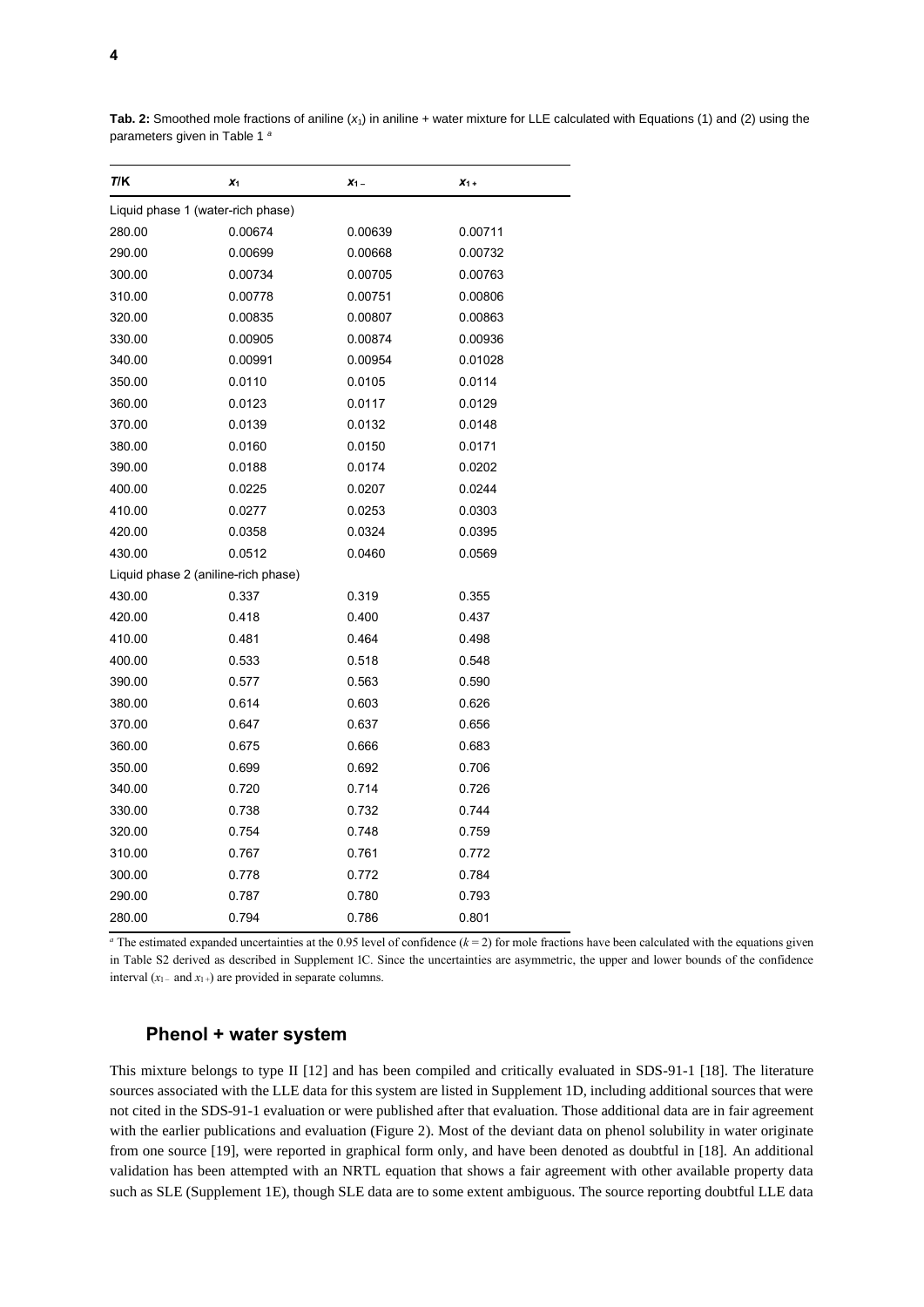| T/K                                 | $x_{1}$ | $X_1$ – | $x_{1+}$ |
|-------------------------------------|---------|---------|----------|
| Liquid phase 1 (water-rich phase)   |         |         |          |
| 280.00                              | 0.00674 | 0.00639 | 0.00711  |
| 290.00                              | 0.00699 | 0.00668 | 0.00732  |
| 300.00                              | 0.00734 | 0.00705 | 0.00763  |
| 310.00                              | 0.00778 | 0.00751 | 0.00806  |
| 320.00                              | 0.00835 | 0.00807 | 0.00863  |
| 330.00                              | 0.00905 | 0.00874 | 0.00936  |
| 340.00                              | 0.00991 | 0.00954 | 0.01028  |
| 350.00                              | 0.0110  | 0.0105  | 0.0114   |
| 360.00                              | 0.0123  | 0.0117  | 0.0129   |
| 370.00                              | 0.0139  | 0.0132  | 0.0148   |
| 380.00                              | 0.0160  | 0.0150  | 0.0171   |
| 390.00                              | 0.0188  | 0.0174  | 0.0202   |
| 400.00                              | 0.0225  | 0.0207  | 0.0244   |
| 410.00                              | 0.0277  | 0.0253  | 0.0303   |
| 420.00                              | 0.0358  | 0.0324  | 0.0395   |
| 430.00                              | 0.0512  | 0.0460  | 0.0569   |
| Liquid phase 2 (aniline-rich phase) |         |         |          |
| 430.00                              | 0.337   | 0.319   | 0.355    |
| 420.00                              | 0.418   | 0.400   | 0.437    |
| 410.00                              | 0.481   | 0.464   | 0.498    |
| 400.00                              | 0.533   | 0.518   | 0.548    |
| 390.00                              | 0.577   | 0.563   | 0.590    |
| 380.00                              | 0.614   | 0.603   | 0.626    |
| 370.00                              | 0.647   | 0.637   | 0.656    |
| 360.00                              | 0.675   | 0.666   | 0.683    |
| 350.00                              | 0.699   | 0.692   | 0.706    |
| 340.00                              | 0.720   | 0.714   | 0.726    |
| 330.00                              | 0.738   | 0.732   | 0.744    |
| 320.00                              | 0.754   | 0.748   | 0.759    |
| 310.00                              | 0.767   | 0.761   | 0.772    |
| 300.00                              | 0.778   | 0.772   | 0.784    |
| 290.00                              | 0.787   | 0.780   | 0.793    |
| 280.00                              | 0.794   | 0.786   | 0.801    |

**Tab. 2:** Smoothed mole fractions of aniline (*x*1) in aniline + water mixture for LLE calculated with Equations (1) and (2) using the parameters given in Table 1 *<sup>a</sup>*

 $\overline{a}$  The estimated expanded uncertainties at the 0.95 level of confidence ( $k = 2$ ) for mole fractions have been calculated with the equations given in Table S2 derived as described in Supplement 1C. Since the uncertainties are asymmetric, the upper and lower bounds of the confidence interval  $(x_{1-}$  and  $x_{1+}$ ) are provided in separate columns.

#### **Phenol + water system**

This mixture belongs to type II [12] and has been compiled and critically evaluated in SDS-91-1 [18]. The literature sources associated with the LLE data for this system are listed in Supplement 1D, including additional sources that were not cited in the SDS-91-1 evaluation or were published after that evaluation. Those additional data are in fair agreement with the earlier publications and evaluation (Figure 2). Most of the deviant data on phenol solubility in water originate from one source [19], were reported in graphical form only, and have been denoted as doubtful in [18]. An additional validation has been attempted with an NRTL equation that shows a fair agreement with other available property data such as SLE (Supplement 1E), though SLE data are to some extent ambiguous. The source reporting doubtful LLE data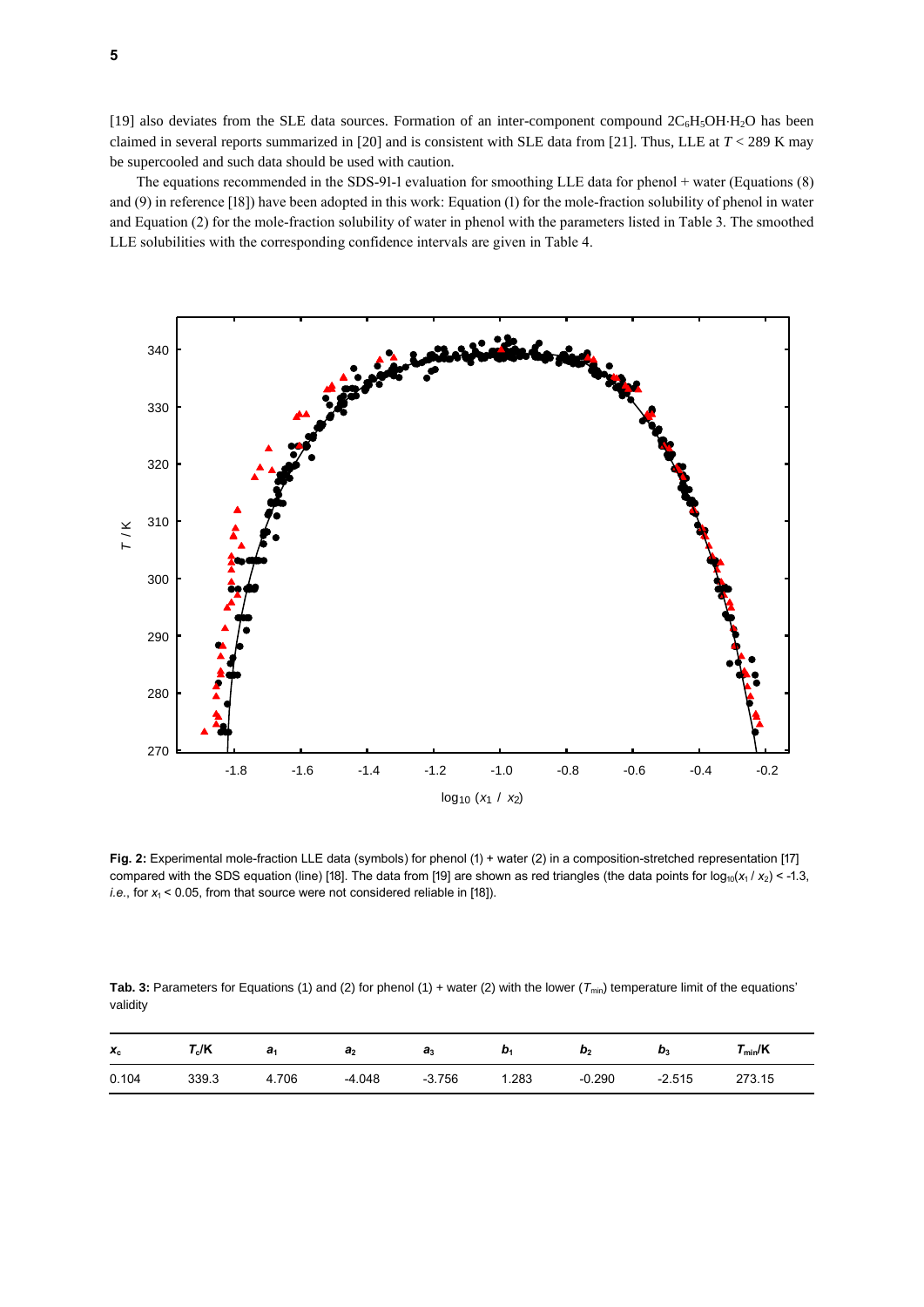[19] also deviates from the SLE data sources. Formation of an inter-component compound  $2C_6H_5OH-H_2O$  has been claimed in several reports summarized in [20] and is consistent with SLE data from [21]. Thus, LLE at *T* < 289 K may be supercooled and such data should be used with caution.

The equations recommended in the SDS-91-1 evaluation for smoothing LLE data for phenol + water (Equations (8) and (9) in reference [18]) have been adopted in this work: Equation (1) for the mole-fraction solubility of phenol in water and Equation (2) for the mole-fraction solubility of water in phenol with the parameters listed in Table 3. The smoothed LLE solubilities with the corresponding confidence intervals are given in Table 4.



**Fig. 2:** Experimental mole-fraction LLE data (symbols) for phenol (1) + water (2) in a composition-stretched representation [17] compared with the SDS equation (line) [18]. The data from [19] are shown as red triangles (the data points for  $log_{10}(x_1 / x_2) < -1.3$ , *i.e.*, for  $x_1$  < 0.05, from that source were not considered reliable in [18]).

**Tab. 3:** Parameters for Equations (1) and (2) for phenol (1) + water (2) with the lower ( $T_{min}$ ) temperature limit of the equations' validity

| $x_c$ | $\mathsf{\Gamma}_{\mathrm{c}}$ /K | a.    | a <sub>2</sub> | $a_3$    | D.   | $\boldsymbol{\omega}_2$ | D,       | $r_{\text{min}}$ /K |
|-------|-----------------------------------|-------|----------------|----------|------|-------------------------|----------|---------------------|
| 0.104 | 339.3                             | 4.706 | $-4.048$       | $-3.756$ | .283 | $-0.290$                | $-2.515$ | 273.15              |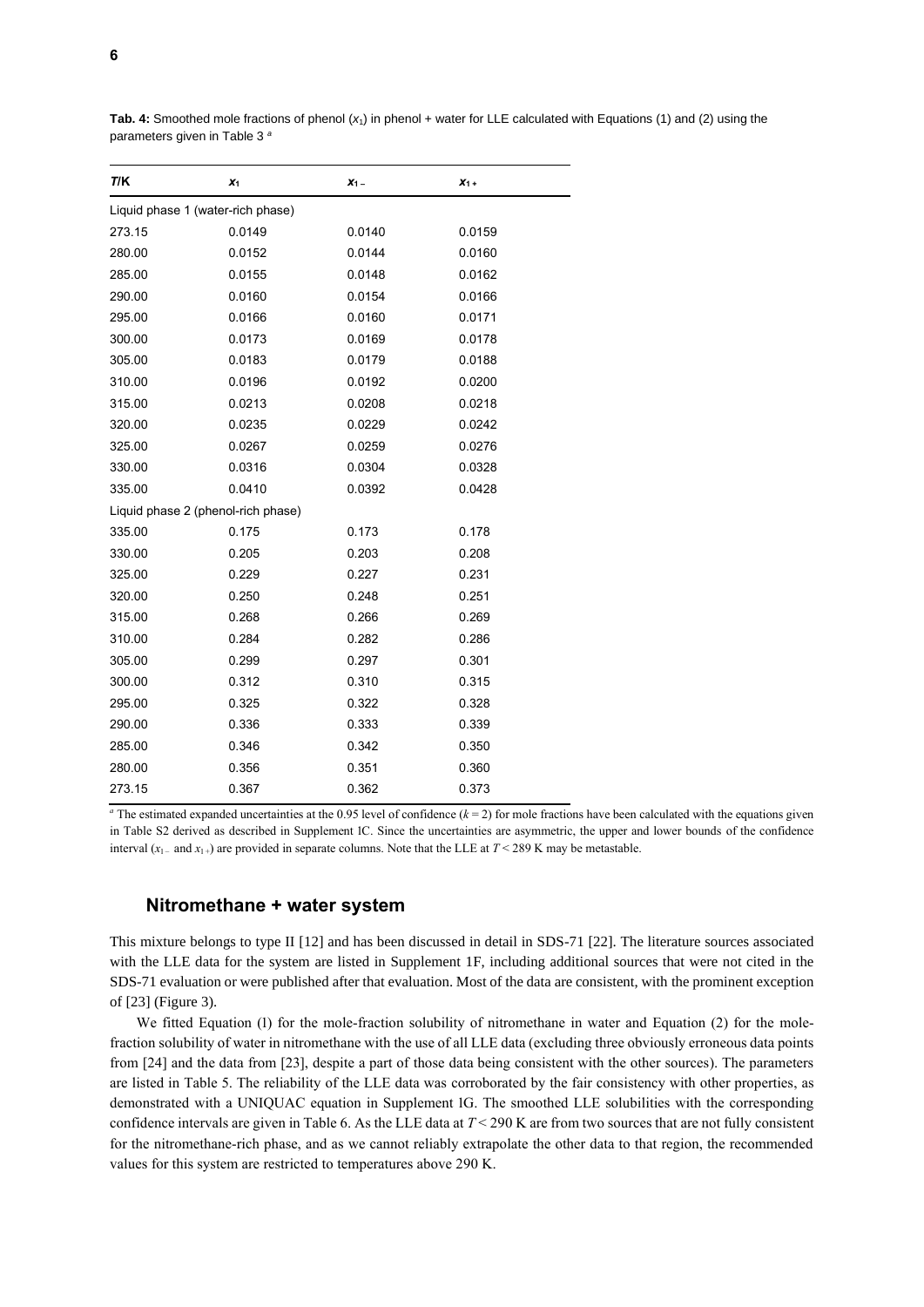| $x_1$                              | $X_1$  | $x_1$  |
|------------------------------------|--------|--------|
| Liquid phase 1 (water-rich phase)  |        |        |
| 0.0149                             | 0.0140 | 0.0159 |
| 0.0152                             | 0.0144 | 0.0160 |
| 0.0155                             | 0.0148 | 0.0162 |
| 0.0160                             | 0.0154 | 0.0166 |
| 0.0166                             | 0.0160 | 0.0171 |
| 0.0173                             | 0.0169 | 0.0178 |
| 0.0183                             | 0.0179 | 0.0188 |
| 0.0196                             | 0.0192 | 0.0200 |
| 0.0213                             | 0.0208 | 0.0218 |
| 0.0235                             | 0.0229 | 0.0242 |
| 0.0267                             | 0.0259 | 0.0276 |
| 0.0316                             | 0.0304 | 0.0328 |
| 0.0410                             | 0.0392 | 0.0428 |
| Liquid phase 2 (phenol-rich phase) |        |        |
| 0.175                              | 0.173  | 0.178  |
| 0.205                              | 0.203  | 0.208  |
| 0.229                              | 0.227  | 0.231  |
| 0.250                              | 0.248  | 0.251  |
| 0.268                              | 0.266  | 0.269  |
| 0.284                              | 0.282  | 0.286  |
| 0.299                              | 0.297  | 0.301  |
| 0.312                              | 0.310  | 0.315  |
| 0.325                              | 0.322  | 0.328  |
| 0.336                              | 0.333  | 0.339  |
| 0.346                              | 0.342  | 0.350  |
| 0.356                              | 0.351  | 0.360  |
| 0.367                              | 0.362  | 0.373  |
|                                    |        |        |

**Tab. 4:** Smoothed mole fractions of phenol (*x*1) in phenol + water for LLE calculated with Equations (1) and (2) using the parameters given in Table 3 *<sup>a</sup>*

<sup>*a*</sup> The estimated expanded uncertainties at the 0.95 level of confidence  $(k = 2)$  for mole fractions have been calculated with the equations given in Table S2 derived as described in Supplement 1C. Since the uncertainties are asymmetric, the upper and lower bounds of the confidence interval  $(x_1$  and  $x_1$  are provided in separate columns. Note that the LLE at  $T < 289$  K may be metastable.

#### **Nitromethane + water system**

This mixture belongs to type II [12] and has been discussed in detail in SDS-71 [22]. The literature sources associated with the LLE data for the system are listed in Supplement 1F, including additional sources that were not cited in the SDS-71 evaluation or were published after that evaluation. Most of the data are consistent, with the prominent exception of [23] (Figure 3).

We fitted Equation (1) for the mole-fraction solubility of nitromethane in water and Equation (2) for the molefraction solubility of water in nitromethane with the use of all LLE data (excluding three obviously erroneous data points from [24] and the data from [23], despite a part of those data being consistent with the other sources). The parameters are listed in Table 5. The reliability of the LLE data was corroborated by the fair consistency with other properties, as demonstrated with a UNIQUAC equation in Supplement 1G. The smoothed LLE solubilities with the corresponding confidence intervals are given in Table 6. As the LLE data at *T* < 290 K are from two sources that are not fully consistent for the nitromethane-rich phase, and as we cannot reliably extrapolate the other data to that region, the recommended values for this system are restricted to temperatures above 290 K.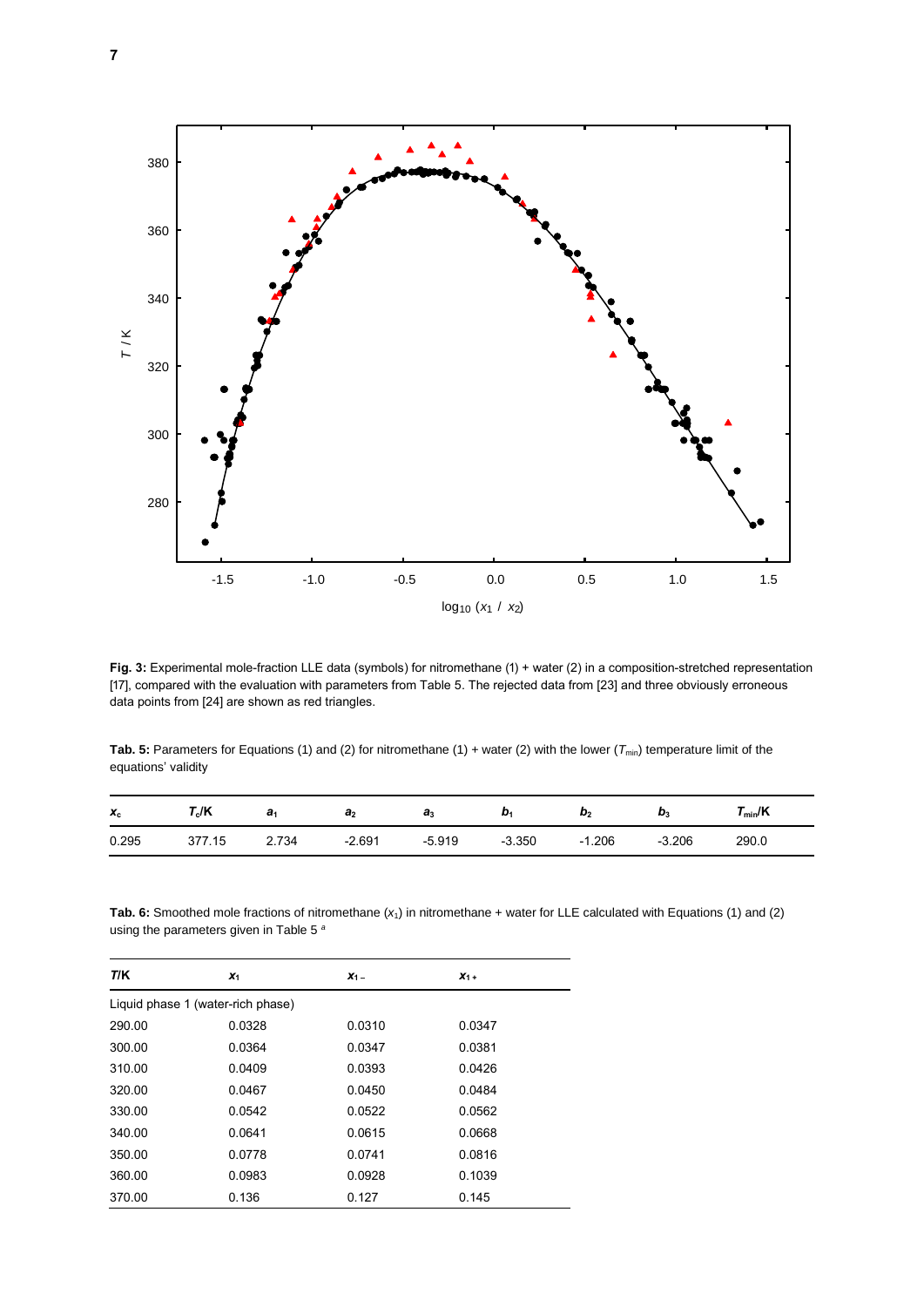

**Fig. 3:** Experimental mole-fraction LLE data (symbols) for nitromethane (1) + water (2) in a composition-stretched representation [17], compared with the evaluation with parameters from Table 5. The rejected data from [23] and three obviously erroneous data points from [24] are shown as red triangles.

**Tab. 5:** Parameters for Equations (1) and (2) for nitromethane (1) + water (2) with the lower ( $T_{min}$ ) temperature limit of the equations' validity

| $x_c$ | $\mathsf{\Gamma}_{\mathrm{c}}$ /K | a.          | a <sub>2</sub> | $a_{3}$  | D.       | $\boldsymbol{\omega}_2$     | D?       | $\mathcal{T}_{\mathsf{min}}/\mathsf{K}$ |
|-------|-----------------------------------|-------------|----------------|----------|----------|-----------------------------|----------|-----------------------------------------|
| 0.295 | $^{\prime}$ .15                   | 734<br>4. I | $-2.691$       | $-5.919$ | $-3.350$ | .206<br>$\mathbf{A}$<br>- 1 | $-3.206$ | 290.0                                   |

**Tab. 6:** Smoothed mole fractions of nitromethane (*x*1) in nitromethane + water for LLE calculated with Equations (1) and (2) using the parameters given in Table 5 *<sup>a</sup>*

| T/K                               | $x_1$  | $X_1$ – | $X_{1+}$ |  |  |  |  |
|-----------------------------------|--------|---------|----------|--|--|--|--|
| Liquid phase 1 (water-rich phase) |        |         |          |  |  |  |  |
| 290.00                            | 0.0328 | 0.0310  | 0.0347   |  |  |  |  |
| 300.00                            | 0.0364 | 0.0347  | 0.0381   |  |  |  |  |
| 310.00                            | 0.0409 | 0.0393  | 0.0426   |  |  |  |  |
| 320.00                            | 0.0467 | 0.0450  | 0.0484   |  |  |  |  |
| 330.00                            | 0.0542 | 0.0522  | 0.0562   |  |  |  |  |
| 340.00                            | 0.0641 | 0.0615  | 0.0668   |  |  |  |  |
| 350.00                            | 0.0778 | 0.0741  | 0.0816   |  |  |  |  |
| 360.00                            | 0.0983 | 0.0928  | 0.1039   |  |  |  |  |
| 370.00                            | 0.136  | 0.127   | 0.145    |  |  |  |  |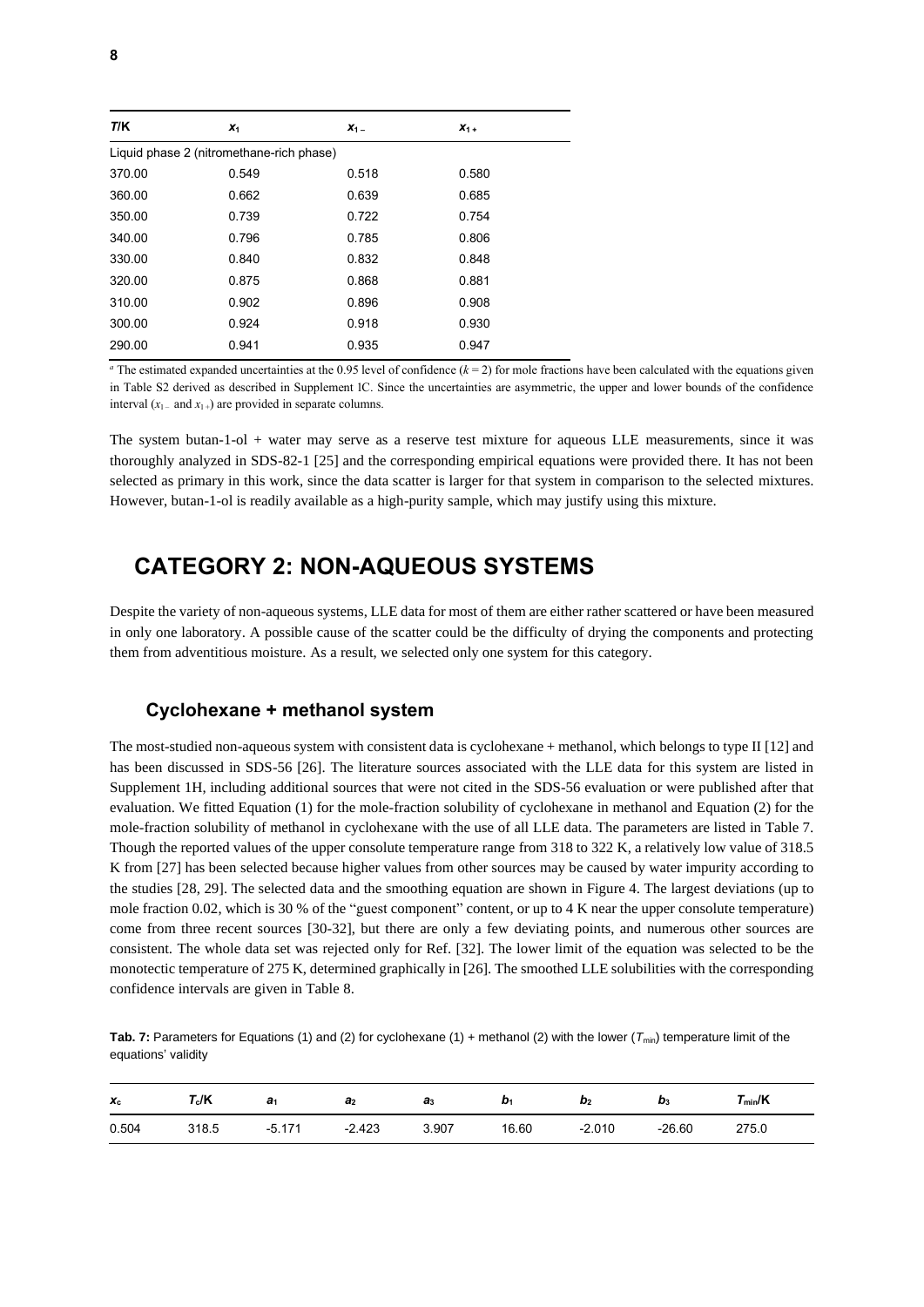| T/K    | $x_1$                                    | $X_1 -$ | $X_1 +$ |  |
|--------|------------------------------------------|---------|---------|--|
|        | Liquid phase 2 (nitromethane-rich phase) |         |         |  |
| 370.00 | 0.549                                    | 0.518   | 0.580   |  |
| 360.00 | 0.662                                    | 0.639   | 0.685   |  |
| 350.00 | 0.739                                    | 0.722   | 0.754   |  |
| 340.00 | 0.796                                    | 0.785   | 0.806   |  |
| 330.00 | 0.840                                    | 0.832   | 0.848   |  |
| 320.00 | 0.875                                    | 0.868   | 0.881   |  |
| 310.00 | 0.902                                    | 0.896   | 0.908   |  |
| 300.00 | 0.924                                    | 0.918   | 0.930   |  |
| 290.00 | 0.941                                    | 0.935   | 0.947   |  |

<sup>*a*</sup> The estimated expanded uncertainties at the 0.95 level of confidence  $(k = 2)$  for mole fractions have been calculated with the equations given in Table S2 derived as described in Supplement 1C. Since the uncertainties are asymmetric, the upper and lower bounds of the confidence interval  $(x_1$  and  $x_1$ <sup>+</sup>) are provided in separate columns.

The system butan-1-ol + water may serve as a reserve test mixture for aqueous LLE measurements, since it was thoroughly analyzed in SDS-82-1 [25] and the corresponding empirical equations were provided there. It has not been selected as primary in this work, since the data scatter is larger for that system in comparison to the selected mixtures. However, butan-1-ol is readily available as a high-purity sample, which may justify using this mixture.

### **CATEGORY 2: NON-AQUEOUS SYSTEMS**

Despite the variety of non-aqueous systems, LLE data for most of them are either rather scattered or have been measured in only one laboratory. A possible cause of the scatter could be the difficulty of drying the components and protecting them from adventitious moisture. As a result, we selected only one system for this category.

#### **Cyclohexane + methanol system**

The most-studied non-aqueous system with consistent data is cyclohexane + methanol, which belongs to type II [12] and has been discussed in SDS-56 [26]. The literature sources associated with the LLE data for this system are listed in Supplement 1H, including additional sources that were not cited in the SDS-56 evaluation or were published after that evaluation. We fitted Equation (1) for the mole-fraction solubility of cyclohexane in methanol and Equation (2) for the mole-fraction solubility of methanol in cyclohexane with the use of all LLE data. The parameters are listed in Table 7. Though the reported values of the upper consolute temperature range from 318 to 322 K, a relatively low value of 318.5 K from [27] has been selected because higher values from other sources may be caused by water impurity according to the studies [28, 29]. The selected data and the smoothing equation are shown in Figure 4. The largest deviations (up to mole fraction 0.02, which is 30 % of the "guest component" content, or up to 4 K near the upper consolute temperature) come from three recent sources [30-32], but there are only a few deviating points, and numerous other sources are consistent. The whole data set was rejected only for Ref. [32]. The lower limit of the equation was selected to be the monotectic temperature of 275 K, determined graphically in [26]. The smoothed LLE solubilities with the corresponding confidence intervals are given in Table 8.

**Tab. 7:** Parameters for Equations (1) and (2) for cyclohexane (1) + methanol (2) with the lower (*T*min) temperature limit of the equations' validity

| $x_c$ | $\mathsf{r}_{\mathsf{c}}$ /K | a    | a,       | $a_3$ | v.    | $\boldsymbol{\omega}_2$ | $\mathbf{D}_3$ | $r_{\scriptscriptstyle{\text{min}}}$ /K |
|-------|------------------------------|------|----------|-------|-------|-------------------------|----------------|-----------------------------------------|
| 0.504 | 318.5                        | .171 | $-2.423$ | 3.907 | 16.60 | $-2.010$                | $-26.60$       | 275.0                                   |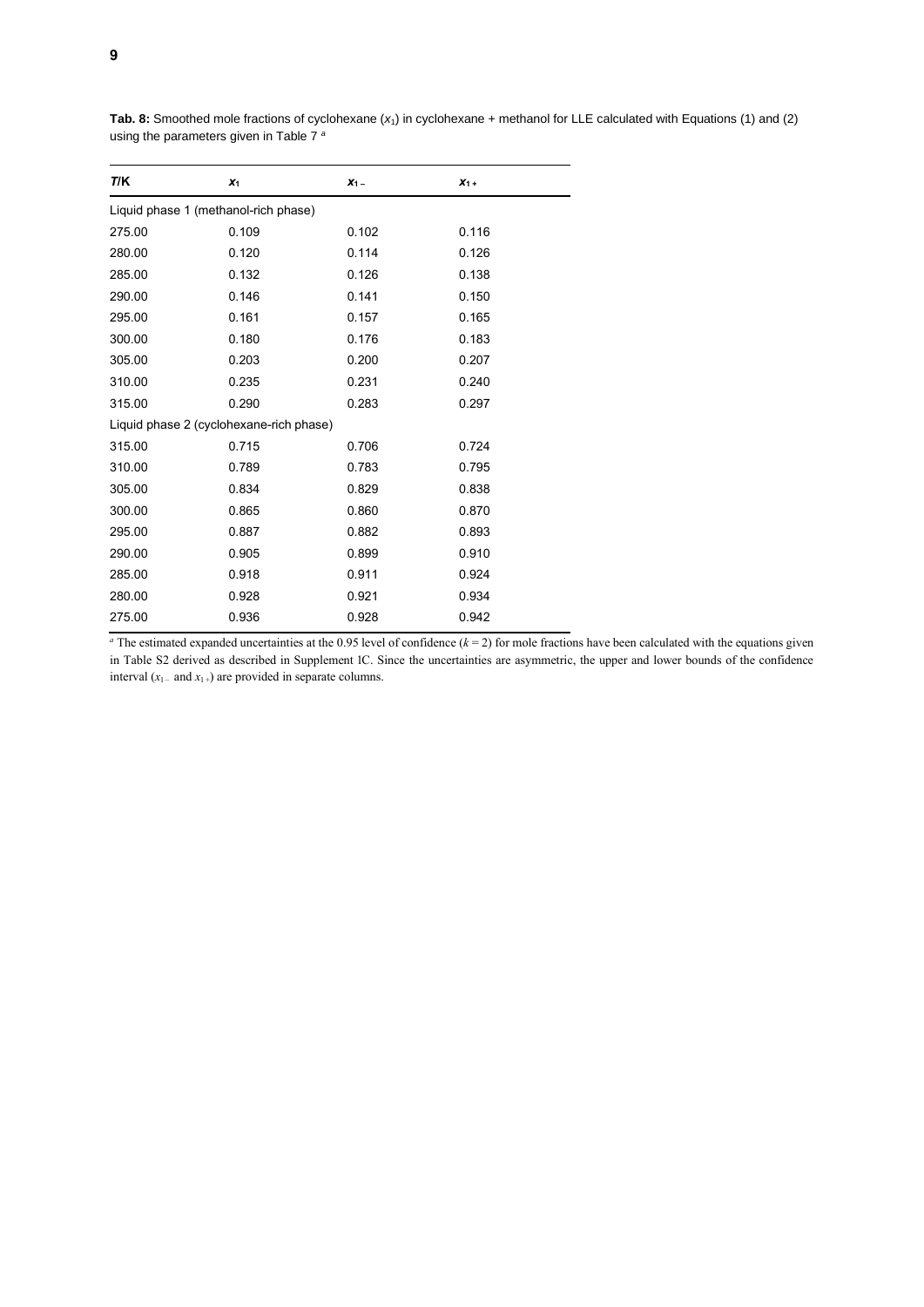| <b>TIK</b>                              | $X_1$ | $X_1$ – | $X_{1+}$ |  |  |  |  |  |
|-----------------------------------------|-------|---------|----------|--|--|--|--|--|
| Liquid phase 1 (methanol-rich phase)    |       |         |          |  |  |  |  |  |
| 275.00                                  | 0.109 | 0.102   | 0.116    |  |  |  |  |  |
| 280.00                                  | 0.120 | 0.114   | 0.126    |  |  |  |  |  |
| 285.00                                  | 0.132 | 0.126   | 0.138    |  |  |  |  |  |
| 290.00                                  | 0.146 | 0.141   | 0.150    |  |  |  |  |  |
| 295.00                                  | 0.161 | 0.157   | 0.165    |  |  |  |  |  |
| 300.00                                  | 0.180 | 0.176   | 0.183    |  |  |  |  |  |
| 305.00                                  | 0.203 | 0.200   | 0.207    |  |  |  |  |  |
| 310.00                                  | 0.235 | 0.231   | 0.240    |  |  |  |  |  |
| 315.00                                  | 0.290 | 0.283   | 0.297    |  |  |  |  |  |
| Liquid phase 2 (cyclohexane-rich phase) |       |         |          |  |  |  |  |  |
| 315.00                                  | 0.715 | 0.706   | 0.724    |  |  |  |  |  |
| 310.00                                  | 0.789 | 0.783   | 0.795    |  |  |  |  |  |
| 305.00                                  | 0.834 | 0.829   | 0.838    |  |  |  |  |  |
| 300.00                                  | 0.865 | 0.860   | 0.870    |  |  |  |  |  |
| 295.00                                  | 0.887 | 0.882   | 0.893    |  |  |  |  |  |
| 290.00                                  | 0.905 | 0.899   | 0.910    |  |  |  |  |  |
| 285.00                                  | 0.918 | 0.911   | 0.924    |  |  |  |  |  |
| 280.00                                  | 0.928 | 0.921   | 0.934    |  |  |  |  |  |
| 275.00                                  | 0.936 | 0.928   | 0.942    |  |  |  |  |  |

**Tab. 8:** Smoothed mole fractions of cyclohexane (*x*1) in cyclohexane + methanol for LLE calculated with Equations (1) and (2) using the parameters given in Table 7 *<sup>a</sup>*

<sup>a</sup> The estimated expanded uncertainties at the 0.95 level of confidence  $(k = 2)$  for mole fractions have been calculated with the equations given in Table S2 derived as described in Supplement 1C. Since the uncertainties are asymmetric, the upper and lower bounds of the confidence interval  $(x_1$  – and  $x_1$  +) are provided in separate columns.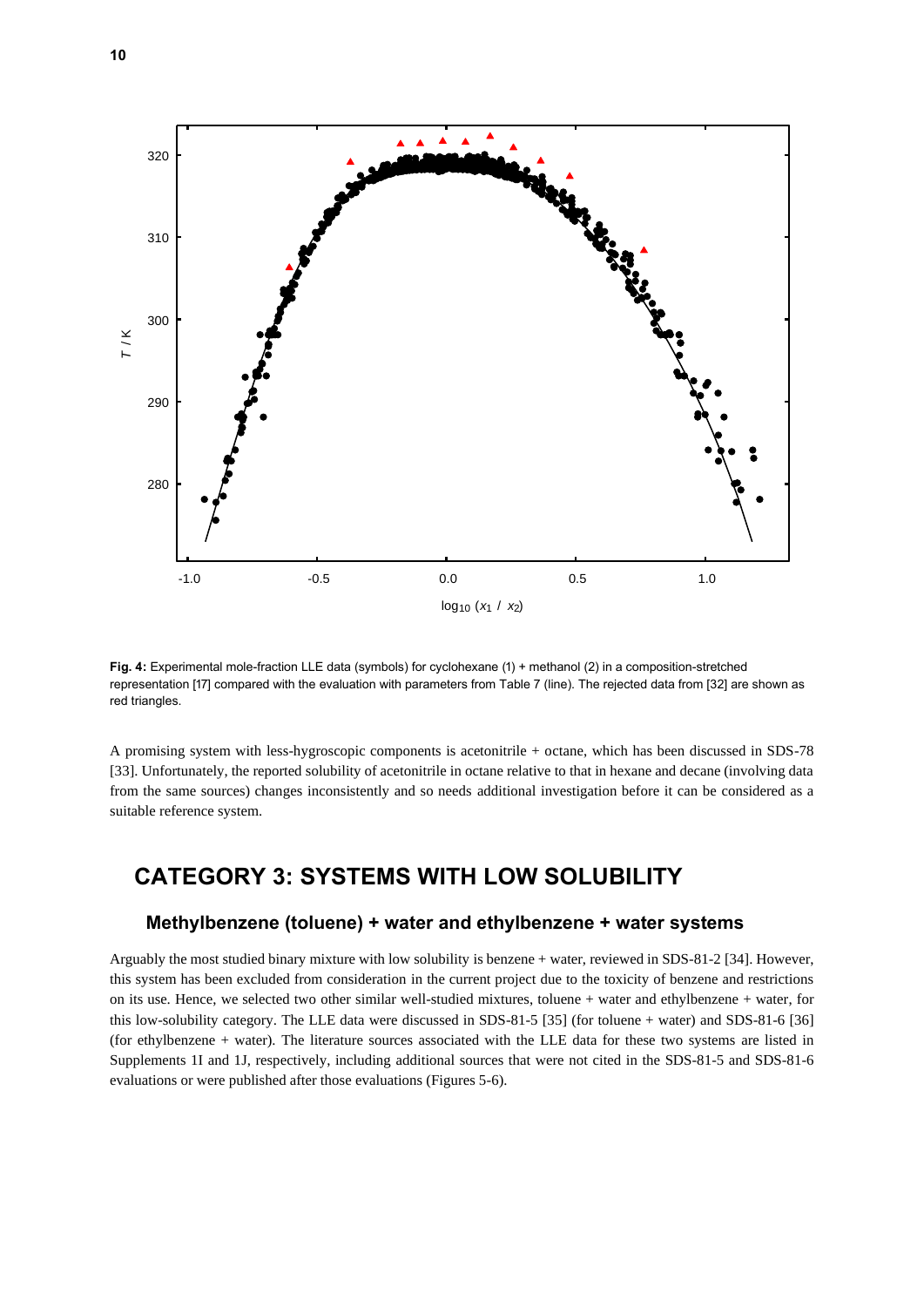

**Fig. 4:** Experimental mole-fraction LLE data (symbols) for cyclohexane (1) + methanol (2) in a composition-stretched representation [17] compared with the evaluation with parameters from Table 7 (line). The rejected data from [32] are shown as red triangles.

A promising system with less-hygroscopic components is acetonitrile + octane, which has been discussed in SDS-78 [33]. Unfortunately, the reported solubility of acetonitrile in octane relative to that in hexane and decane (involving data from the same sources) changes inconsistently and so needs additional investigation before it can be considered as a suitable reference system.

## **CATEGORY 3: SYSTEMS WITH LOW SOLUBILITY**

#### **Methylbenzene (toluene) + water and ethylbenzene + water systems**

Arguably the most studied binary mixture with low solubility is benzene + water, reviewed in SDS-81-2 [34]. However, this system has been excluded from consideration in the current project due to the toxicity of benzene and restrictions on its use. Hence, we selected two other similar well-studied mixtures, toluene + water and ethylbenzene + water, for this low-solubility category. The LLE data were discussed in SDS-81-5 [35] (for toluene + water) and SDS-81-6 [36] (for ethylbenzene + water). The literature sources associated with the LLE data for these two systems are listed in Supplements 1I and 1J, respectively, including additional sources that were not cited in the SDS-81-5 and SDS-81-6 evaluations or were published after those evaluations (Figures 5-6).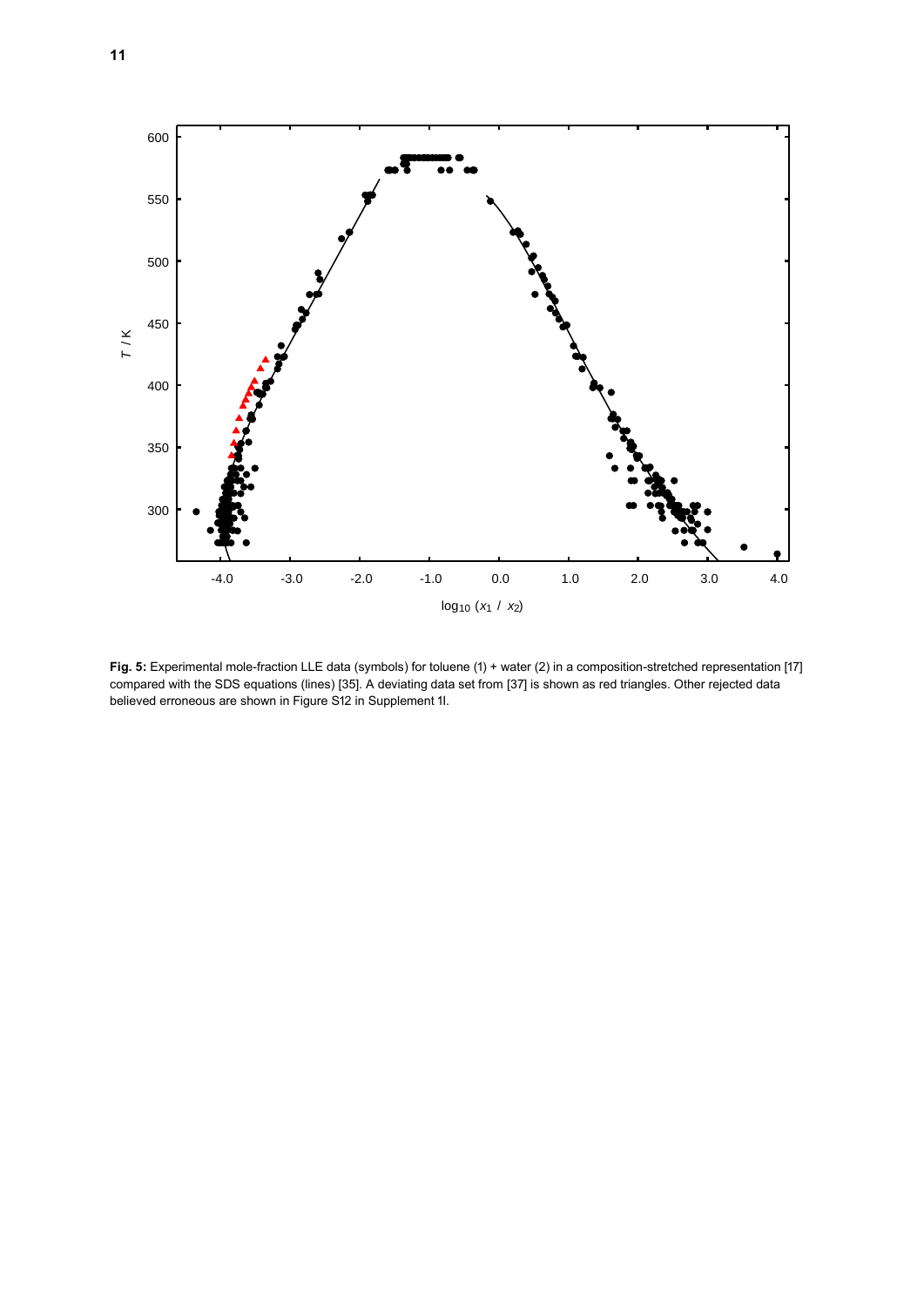

**Fig. 5:** Experimental mole-fraction LLE data (symbols) for toluene (1) + water (2) in a composition-stretched representation [17] compared with the SDS equations (lines) [35]. A deviating data set from [37] is shown as red triangles. Other rejected data believed erroneous are shown in Figure S12 in Supplement 1I.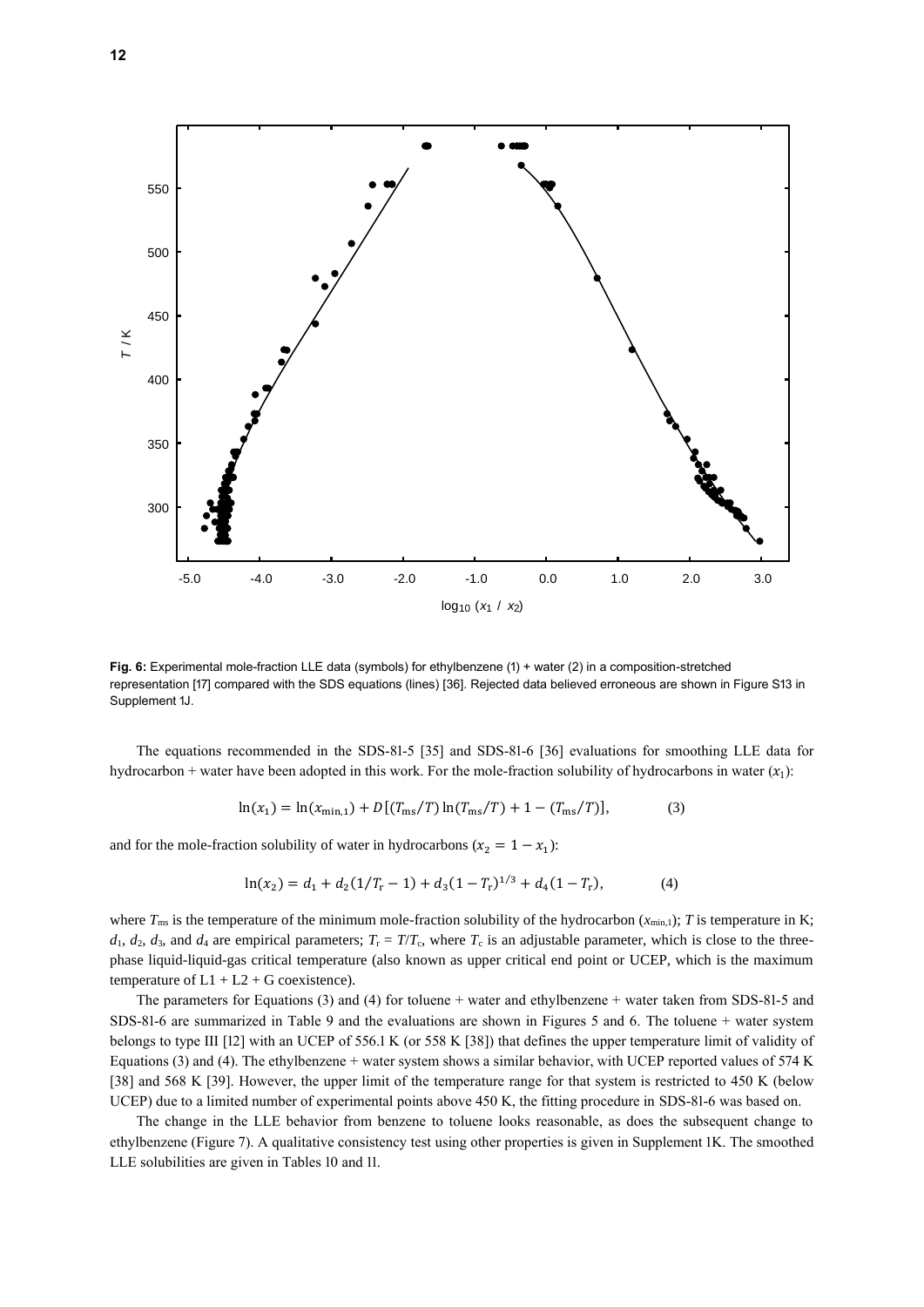

**Fig. 6:** Experimental mole-fraction LLE data (symbols) for ethylbenzene (1) + water (2) in a composition-stretched representation [17] compared with the SDS equations (lines) [36]. Rejected data believed erroneous are shown in Figure S13 in Supplement 1J.

The equations recommended in the SDS-81-5 [35] and SDS-81-6 [36] evaluations for smoothing LLE data for hydrocarbon + water have been adopted in this work. For the mole-fraction solubility of hydrocarbons in water  $(x_1)$ :

$$
\ln(x_1) = \ln(x_{\min,1}) + D\left[\frac{T_{\max}}{T}\right] \ln(T_{\max}/T) + 1 - \frac{T_{\max}}{T}\right],\tag{3}
$$

and for the mole-fraction solubility of water in hydrocarbons ( $x_2 = 1 - x_1$ ):

$$
\ln(x_2) = d_1 + d_2(1/T_r - 1) + d_3(1 - T_r)^{1/3} + d_4(1 - T_r),\tag{4}
$$

where  $T_{\text{ms}}$  is the temperature of the minimum mole-fraction solubility of the hydrocarbon  $(x_{\text{min},1})$ ; *T* is temperature in K;  $d_1, d_2, d_3$ , and  $d_4$  are empirical parameters;  $T_r = T/T_c$ , where  $T_c$  is an adjustable parameter, which is close to the threephase liquid-liquid-gas critical temperature (also known as upper critical end point or UCEP, which is the maximum temperature of  $L1 + L2 + G$  coexistence).

The parameters for Equations (3) and (4) for toluene + water and ethylbenzene + water taken from SDS-81-5 and SDS-81-6 are summarized in Table 9 and the evaluations are shown in Figures 5 and 6. The toluene + water system belongs to type III [12] with an UCEP of 556.1 K (or 558 K [38]) that defines the upper temperature limit of validity of Equations (3) and (4). The ethylbenzene + water system shows a similar behavior, with UCEP reported values of 574 K [38] and 568 K [39]. However, the upper limit of the temperature range for that system is restricted to 450 K (below UCEP) due to a limited number of experimental points above 450 K, the fitting procedure in SDS-81-6 was based on.

The change in the LLE behavior from benzene to toluene looks reasonable, as does the subsequent change to ethylbenzene (Figure 7). A qualitative consistency test using other properties is given in Supplement 1K. The smoothed LLE solubilities are given in Tables 10 and 11.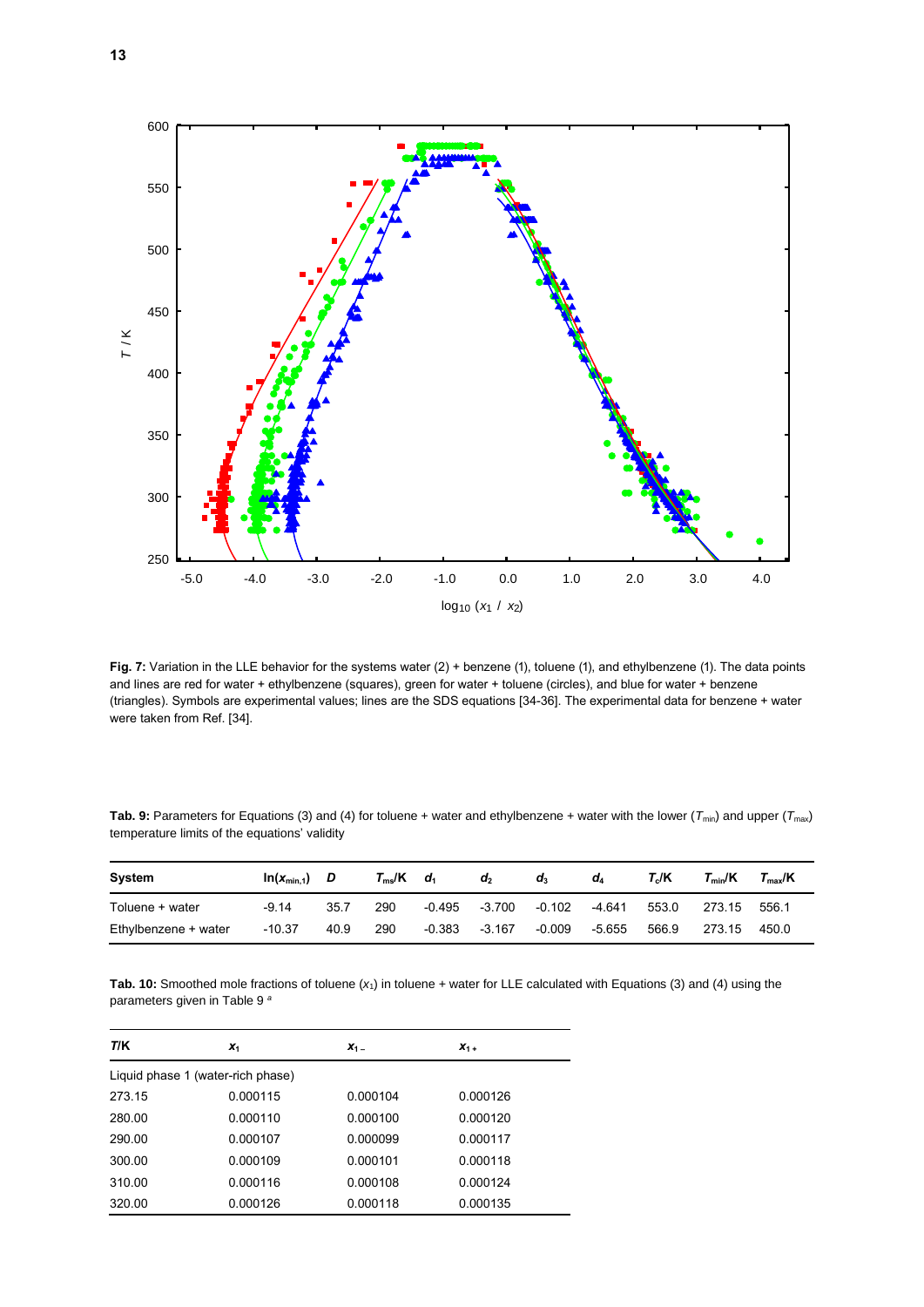

**Fig. 7:** Variation in the LLE behavior for the systems water (2) + benzene (1), toluene (1), and ethylbenzene (1). The data points and lines are red for water + ethylbenzene (squares), green for water + toluene (circles), and blue for water + benzene (triangles). Symbols are experimental values; lines are the SDS equations [34-36]. The experimental data for benzene + water were taken from Ref. [34].

| Tab. 9: Parameters for Equations (3) and (4) for toluene + water and ethylbenzene + water with the lower ( $T_{min}$ ) and upper ( $T_{max}$ ) |  |
|------------------------------------------------------------------------------------------------------------------------------------------------|--|
| temperature limits of the equations' validity                                                                                                  |  |

| System               | $ln(x_{min.1})$ D |      | $T_{\rm ms}/K$ | $d_1$  | $d_2$    | $\mathbf{d}_3$ | dΔ     | T./K  | $T_{min}/K$ | $\mathsf{\Gamma}_{\mathrm{\mathsf{max}}}$ /K |
|----------------------|-------------------|------|----------------|--------|----------|----------------|--------|-------|-------------|----------------------------------------------|
| Toluene + water      | $-9.14$           | 35.7 | 290            | -0.495 | -3.700   | -0.102         | -4.641 | 553.0 | 273.15      | 556.1                                        |
| Ethylbenzene + water | $-10.37$          | 40.9 | 290            | -0.383 | $-3.167$ | $-0.009$       | -5.655 | 566.9 | 273.15      | 450.0                                        |

**Tab. 10:** Smoothed mole fractions of toluene (*x*1) in toluene + water for LLE calculated with Equations (3) and (4) using the parameters given in Table 9 *<sup>a</sup>*

| T/K                               | $x_1$    | $X_1$ –  | $X_1 +$  |  |  |  |  |
|-----------------------------------|----------|----------|----------|--|--|--|--|
| Liquid phase 1 (water-rich phase) |          |          |          |  |  |  |  |
| 273.15                            | 0.000115 | 0.000104 | 0.000126 |  |  |  |  |
| 280.00                            | 0.000110 | 0.000100 | 0.000120 |  |  |  |  |
| 290.00                            | 0.000107 | 0.000099 | 0.000117 |  |  |  |  |
| 300.00                            | 0.000109 | 0.000101 | 0.000118 |  |  |  |  |
| 310.00                            | 0.000116 | 0.000108 | 0.000124 |  |  |  |  |
| 320.00                            | 0.000126 | 0.000118 | 0.000135 |  |  |  |  |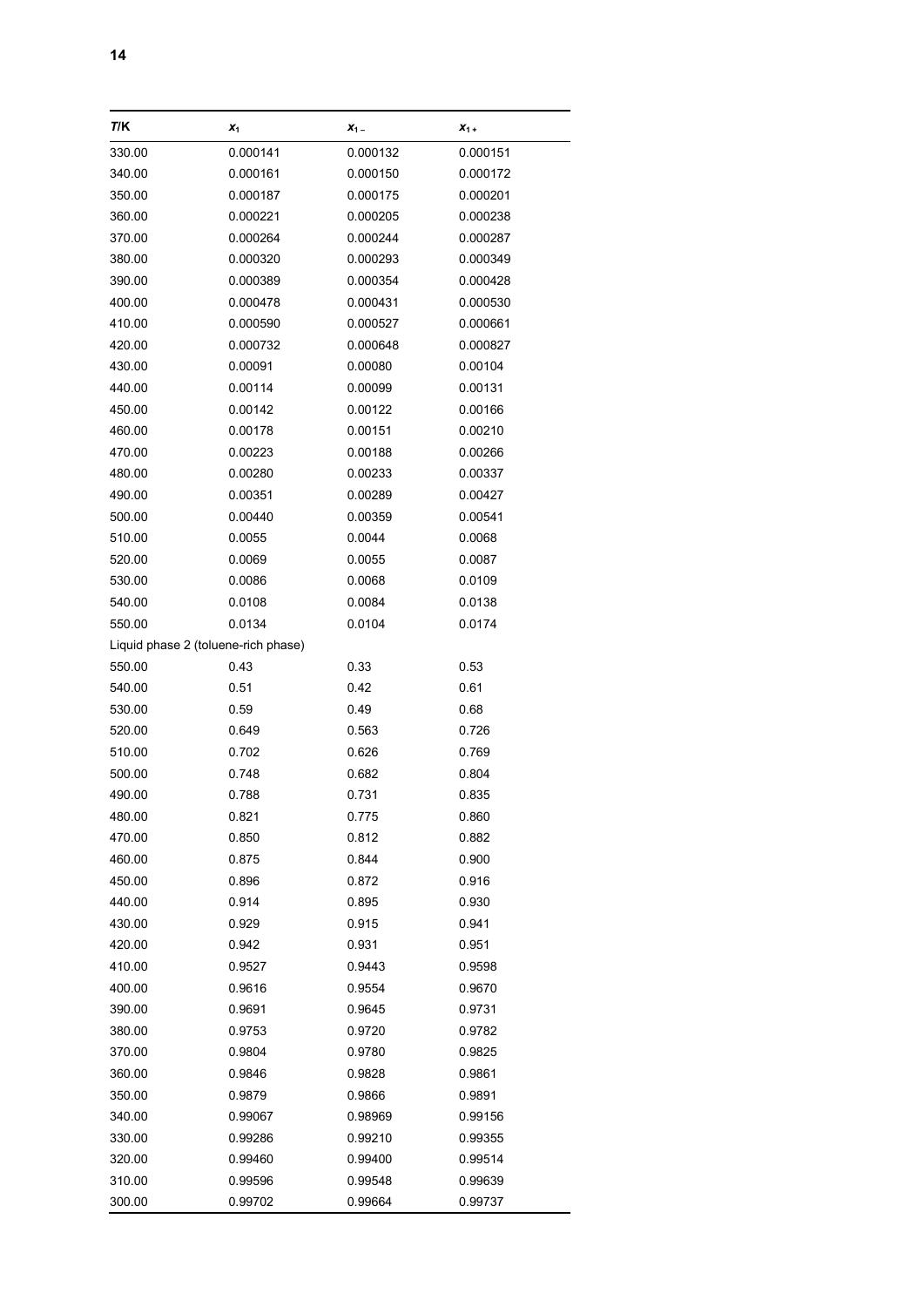| 14 |  |  |  |
|----|--|--|--|
|    |  |  |  |

| T/K                                 | $x_1$    | $X_1$ –  | $X_1 +$  |
|-------------------------------------|----------|----------|----------|
| 330.00                              | 0.000141 | 0.000132 | 0.000151 |
| 340.00                              | 0.000161 | 0.000150 | 0.000172 |
| 350.00                              | 0.000187 | 0.000175 | 0.000201 |
| 360.00                              | 0.000221 | 0.000205 | 0.000238 |
| 370.00                              | 0.000264 | 0.000244 | 0.000287 |
| 380.00                              | 0.000320 | 0.000293 | 0.000349 |
| 390.00                              | 0.000389 | 0.000354 | 0.000428 |
| 400.00                              | 0.000478 | 0.000431 | 0.000530 |
| 410.00                              | 0.000590 | 0.000527 | 0.000661 |
| 420.00                              | 0.000732 | 0.000648 | 0.000827 |
| 430.00                              | 0.00091  | 0.00080  | 0.00104  |
| 440.00                              | 0.00114  | 0.00099  | 0.00131  |
| 450.00                              | 0.00142  | 0.00122  | 0.00166  |
| 460.00                              | 0.00178  | 0.00151  | 0.00210  |
| 470.00                              | 0.00223  | 0.00188  | 0.00266  |
| 480.00                              | 0.00280  | 0.00233  | 0.00337  |
| 490.00                              | 0.00351  | 0.00289  | 0.00427  |
| 500.00                              | 0.00440  | 0.00359  | 0.00541  |
| 510.00                              | 0.0055   | 0.0044   | 0.0068   |
| 520.00                              | 0.0069   | 0.0055   | 0.0087   |
| 530.00                              | 0.0086   | 0.0068   | 0.0109   |
| 540.00                              | 0.0108   | 0.0084   | 0.0138   |
| 550.00                              | 0.0134   | 0.0104   | 0.0174   |
| Liquid phase 2 (toluene-rich phase) |          |          |          |
| 550.00                              | 0.43     | 0.33     | 0.53     |
| 540.00                              | 0.51     | 0.42     | 0.61     |
| 530.00                              | 0.59     | 0.49     | 0.68     |
| 520.00                              | 0.649    | 0.563    | 0.726    |
| 510.00                              | 0.702    | 0.626    | 0.769    |
| 500.00                              | 0.748    | 0.682    | 0.804    |
| 490.00                              | 0.788    | 0.731    | 0.835    |
| 480.00                              | 0.821    | 0.775    | 0.860    |
| 470.00                              | 0.850    | 0.812    | 0.882    |
| 460.00                              | 0.875    | 0.844    | 0.900    |
| 450.00                              | 0.896    | 0.872    | 0.916    |
| 440.00                              | 0.914    | 0.895    | 0.930    |
| 430.00                              | 0.929    | 0.915    | 0.941    |
| 420.00                              | 0.942    | 0.931    | 0.951    |
| 410.00                              | 0.9527   | 0.9443   | 0.9598   |
| 400.00                              | 0.9616   | 0.9554   | 0.9670   |
| 390.00                              | 0.9691   | 0.9645   | 0.9731   |
| 380.00                              | 0.9753   | 0.9720   | 0.9782   |
| 370.00                              | 0.9804   | 0.9780   | 0.9825   |
| 360.00                              | 0.9846   | 0.9828   | 0.9861   |
| 350.00                              | 0.9879   | 0.9866   | 0.9891   |
| 340.00                              | 0.99067  | 0.98969  | 0.99156  |
| 330.00                              | 0.99286  | 0.99210  | 0.99355  |
| 320.00                              | 0.99460  | 0.99400  | 0.99514  |
| 310.00                              | 0.99596  | 0.99548  | 0.99639  |
| 300.00                              | 0.99702  | 0.99664  | 0.99737  |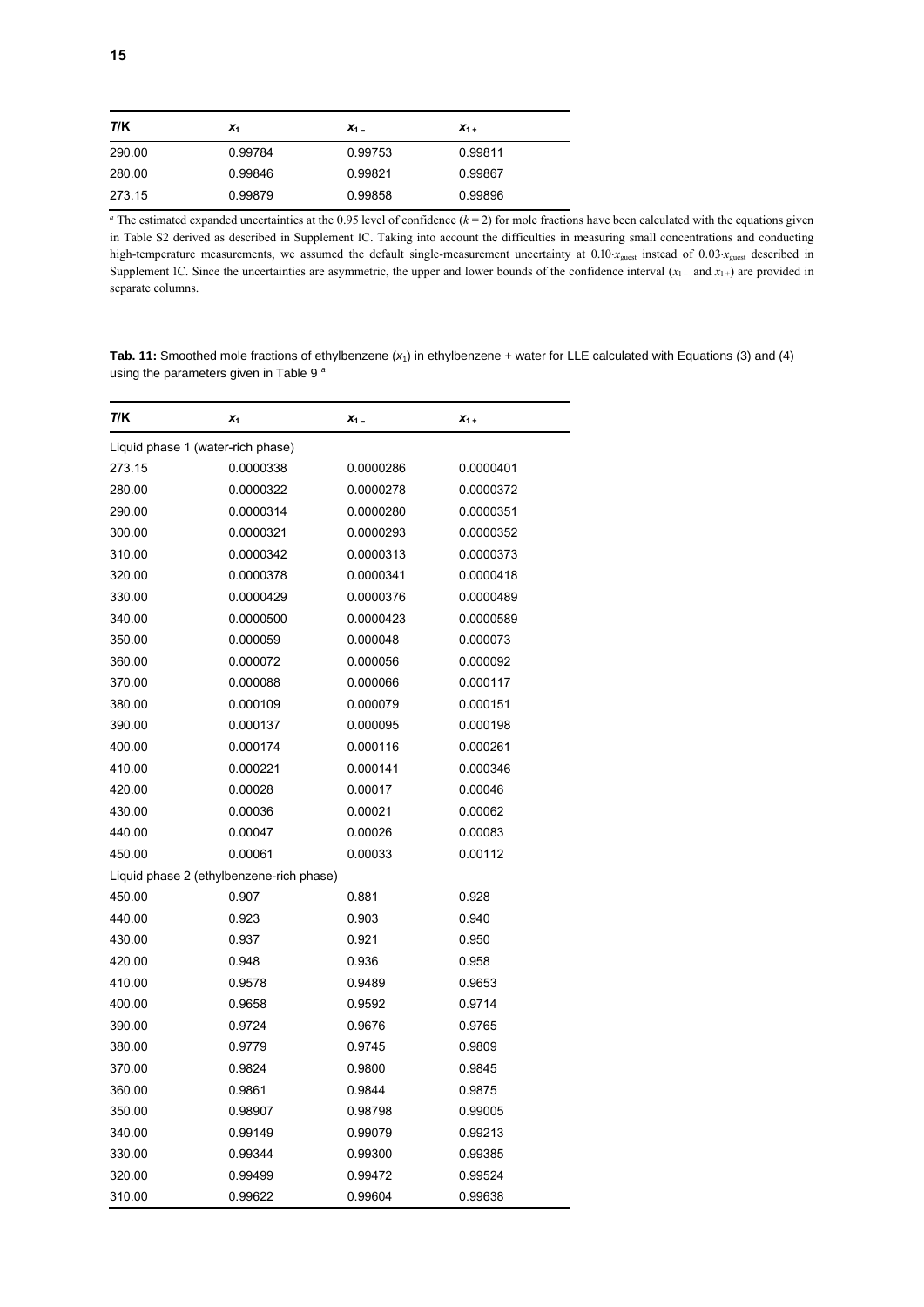| T/K    | $\mathbf{x}_1$ | $X_1 -$ | $X_1 +$ |
|--------|----------------|---------|---------|
| 290.00 | 0.99784        | 0.99753 | 0.99811 |
| 280.00 | 0.99846        | 0.99821 | 0.99867 |
| 273.15 | 0.99879        | 0.99858 | 0.99896 |

<sup>*a*</sup> The estimated expanded uncertainties at the 0.95 level of confidence  $(k = 2)$  for mole fractions have been calculated with the equations given in Table S2 derived as described in Supplement 1C. Taking into account the difficulties in measuring small concentrations and conducting high-temperature measurements, we assumed the default single-measurement uncertainty at  $0.10 x_{\text{guest}}$  instead of  $0.03 x_{\text{guest}}$  described in Supplement 1C. Since the uncertainties are asymmetric, the upper and lower bounds of the confidence interval  $(x_1 -$  and  $x_1 +$ ) are provided in separate columns.

**Tab. 11:** Smoothed mole fractions of ethylbenzene (*x*1) in ethylbenzene + water for LLE calculated with Equations (3) and (4) using the parameters given in Table 9 *<sup>a</sup>*

| T/K                                      | $X_1$     | $X_1$ –   | $X_1 +$   |  |
|------------------------------------------|-----------|-----------|-----------|--|
| Liquid phase 1 (water-rich phase)        |           |           |           |  |
| 273.15                                   | 0.0000338 | 0.0000286 | 0.0000401 |  |
| 280.00                                   | 0.0000322 | 0.0000278 | 0.0000372 |  |
| 290.00                                   | 0.0000314 | 0.0000280 | 0.0000351 |  |
| 300.00                                   | 0.0000321 | 0.0000293 | 0.0000352 |  |
| 310.00                                   | 0.0000342 | 0.0000313 | 0.0000373 |  |
| 320.00                                   | 0.0000378 | 0.0000341 | 0.0000418 |  |
| 330.00                                   | 0.0000429 | 0.0000376 | 0.0000489 |  |
| 340.00                                   | 0.0000500 | 0.0000423 | 0.0000589 |  |
| 350.00                                   | 0.000059  | 0.000048  | 0.000073  |  |
| 360.00                                   | 0.000072  | 0.000056  | 0.000092  |  |
| 370.00                                   | 0.000088  | 0.000066  | 0.000117  |  |
| 380.00                                   | 0.000109  | 0.000079  | 0.000151  |  |
| 390.00                                   | 0.000137  | 0.000095  | 0.000198  |  |
| 400.00                                   | 0.000174  | 0.000116  | 0.000261  |  |
| 410.00                                   | 0.000221  | 0.000141  | 0.000346  |  |
| 420.00                                   | 0.00028   | 0.00017   | 0.00046   |  |
| 430.00                                   | 0.00036   | 0.00021   | 0.00062   |  |
| 440.00                                   | 0.00047   | 0.00026   | 0.00083   |  |
| 450.00                                   | 0.00061   | 0.00033   | 0.00112   |  |
| Liquid phase 2 (ethylbenzene-rich phase) |           |           |           |  |
| 450.00                                   | 0.907     | 0.881     | 0.928     |  |
| 440.00                                   | 0.923     | 0.903     | 0.940     |  |
| 430.00                                   | 0.937     | 0.921     | 0.950     |  |
| 420.00                                   | 0.948     | 0.936     | 0.958     |  |
| 410.00                                   | 0.9578    | 0.9489    | 0.9653    |  |
| 400.00                                   | 0.9658    | 0.9592    | 0.9714    |  |
| 390.00                                   | 0.9724    | 0.9676    | 0.9765    |  |
| 380.00                                   | 0.9779    | 0.9745    | 0.9809    |  |
| 370.00                                   | 0.9824    | 0.9800    | 0.9845    |  |
| 360.00                                   | 0.9861    | 0.9844    | 0.9875    |  |
| 350.00                                   | 0.98907   | 0.98798   | 0.99005   |  |
| 340.00                                   | 0.99149   | 0.99079   | 0.99213   |  |
| 330.00                                   | 0.99344   | 0.99300   | 0.99385   |  |
| 320.00                                   | 0.99499   | 0.99472   | 0.99524   |  |
| 310.00                                   | 0.99622   | 0.99604   | 0.99638   |  |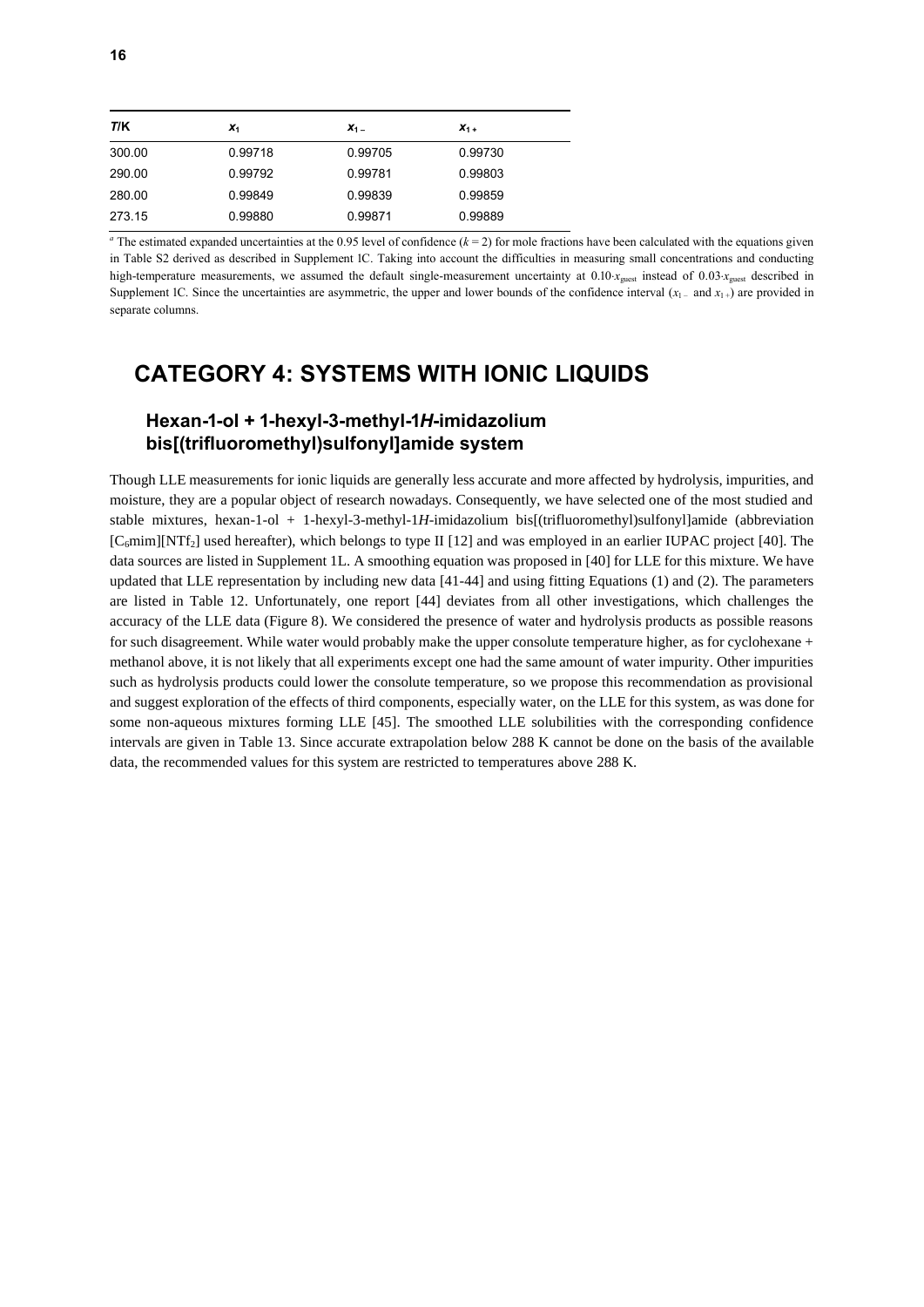| T/K    | $\mathbf{x}_1$ | $X_1 -$ | $X_1 +$ |
|--------|----------------|---------|---------|
| 300.00 | 0.99718        | 0.99705 | 0.99730 |
| 290.00 | 0.99792        | 0.99781 | 0.99803 |
| 280.00 | 0.99849        | 0.99839 | 0.99859 |
| 273.15 | 0.99880        | 0.99871 | 0.99889 |

<sup>*a*</sup> The estimated expanded uncertainties at the 0.95 level of confidence  $(k = 2)$  for mole fractions have been calculated with the equations given in Table S2 derived as described in Supplement 1C. Taking into account the difficulties in measuring small concentrations and conducting high-temperature measurements, we assumed the default single-measurement uncertainty at 0.10*x*<sub>guest</sub> instead of 0.03*x*<sub>guest</sub> described in Supplement 1C. Since the uncertainties are asymmetric, the upper and lower bounds of the confidence interval  $(x_1 - \text{ and } x_1 +)$  are provided in separate columns.

### **CATEGORY 4: SYSTEMS WITH IONIC LIQUIDS**

### **Hexan-1-ol + 1-hexyl-3-methyl-1***H***-imidazolium bis[(trifluoromethyl)sulfonyl]amide system**

Though LLE measurements for ionic liquids are generally less accurate and more affected by hydrolysis, impurities, and moisture, they are a popular object of research nowadays. Consequently, we have selected one of the most studied and stable mixtures, hexan-1-ol + 1-hexyl-3-methyl-1*H*-imidazolium bis[(trifluoromethyl)sulfonyl]amide (abbreviation  $[C_6$ mim][NTf<sub>2</sub>] used hereafter), which belongs to type II [12] and was employed in an earlier IUPAC project [40]. The data sources are listed in Supplement 1L. A smoothing equation was proposed in [40] for LLE for this mixture. We have updated that LLE representation by including new data [41-44] and using fitting Equations (1) and (2). The parameters are listed in Table 12. Unfortunately, one report [44] deviates from all other investigations, which challenges the accuracy of the LLE data (Figure 8). We considered the presence of water and hydrolysis products as possible reasons for such disagreement. While water would probably make the upper consolute temperature higher, as for cyclohexane + methanol above, it is not likely that all experiments except one had the same amount of water impurity. Other impurities such as hydrolysis products could lower the consolute temperature, so we propose this recommendation as provisional and suggest exploration of the effects of third components, especially water, on the LLE for this system, as was done for some non-aqueous mixtures forming LLE [45]. The smoothed LLE solubilities with the corresponding confidence intervals are given in Table 13. Since accurate extrapolation below 288 K cannot be done on the basis of the available data, the recommended values for this system are restricted to temperatures above 288 K.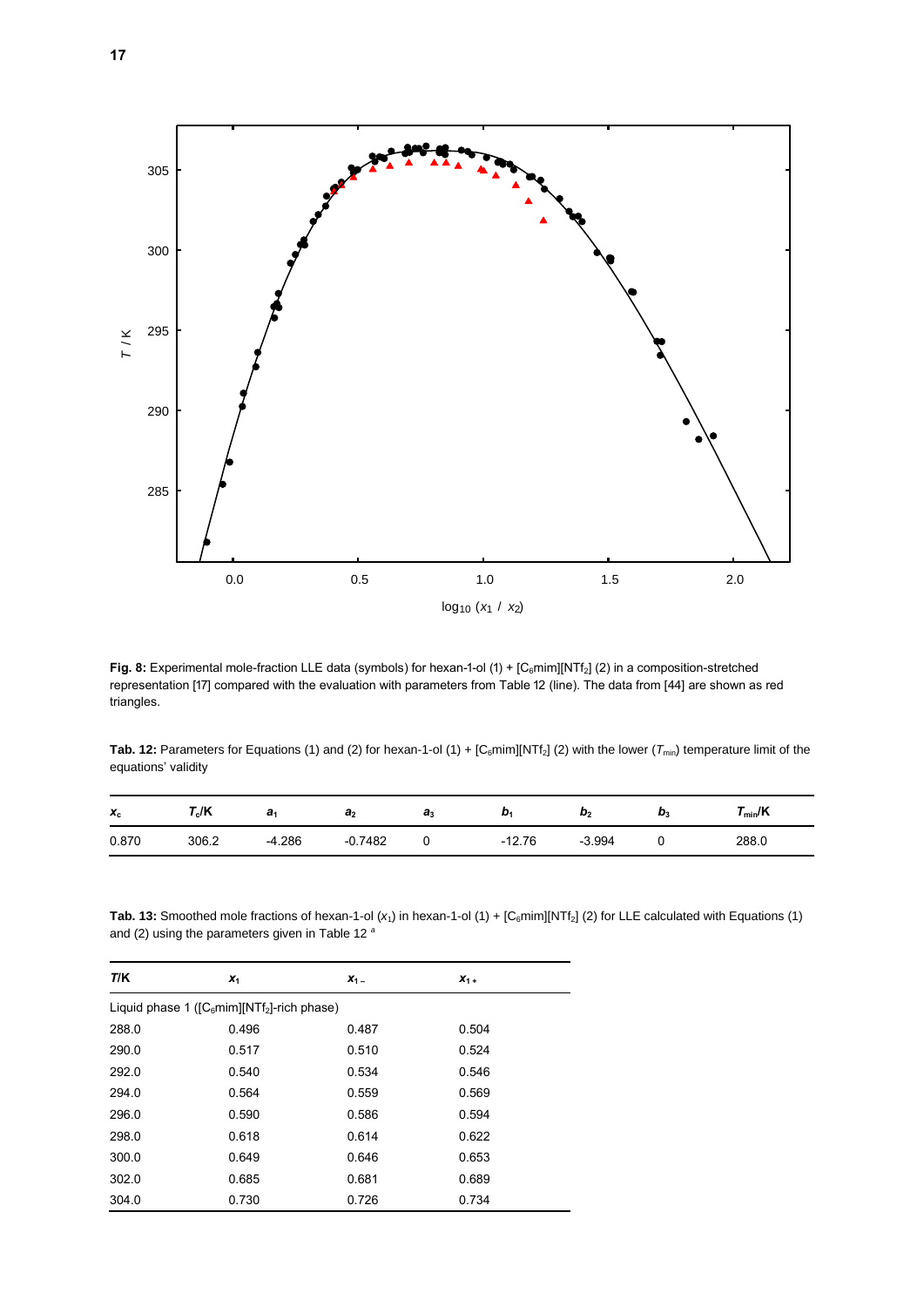

Fig. 8: Experimental mole-fraction LLE data (symbols) for hexan-1-ol (1) + [C<sub>6</sub>mim][NTf<sub>2</sub>] (2) in a composition-stretched representation [17] compared with the evaluation with parameters from Table 12 (line). The data from [44] are shown as red triangles.

**Tab. 12:** Parameters for Equations (1) and (2) for hexan-1-ol (1) +  $[C_6$ mim][NTf<sub>2</sub>] (2) with the lower ( $T_{min}$ ) temperature limit of the equations' validity

| $x_c$ | $\mathsf{r}_{\mathsf{c}}$ /K | a        | a <sub>2</sub> | aз | IJ.      | $\boldsymbol{\omega}_2$ | IJ, | $r_{\scriptscriptstyle{\text{min}}}$ /K |
|-------|------------------------------|----------|----------------|----|----------|-------------------------|-----|-----------------------------------------|
| 0.870 | 306.2                        | $-4.286$ | $-0.7482$      |    | $-12.76$ | $-3.994$                |     | 288.0                                   |

**Tab. 13:** Smoothed mole fractions of hexan-1-ol  $(x_1)$  in hexan-1-ol  $(1) + [C_6 \text{min}][NTf_2]$  (2) for LLE calculated with Equations (1) and (2) using the parameters given in Table 12 *<sup>a</sup>*

| T/K   | $x_1$                                         | $X_1 -$ | $X_1 +$ |
|-------|-----------------------------------------------|---------|---------|
|       | Liquid phase 1 ( $[C6min][NTf2]-rich phase$ ) |         |         |
| 288.0 | 0.496                                         | 0.487   | 0.504   |
| 290.0 | 0.517                                         | 0.510   | 0.524   |
| 292.0 | 0.540                                         | 0.534   | 0.546   |
| 294.0 | 0.564                                         | 0.559   | 0.569   |
| 296.0 | 0.590                                         | 0.586   | 0.594   |
| 298.0 | 0.618                                         | 0.614   | 0.622   |
| 300.0 | 0.649                                         | 0.646   | 0.653   |
| 302.0 | 0.685                                         | 0.681   | 0.689   |
| 304.0 | 0.730                                         | 0.726   | 0.734   |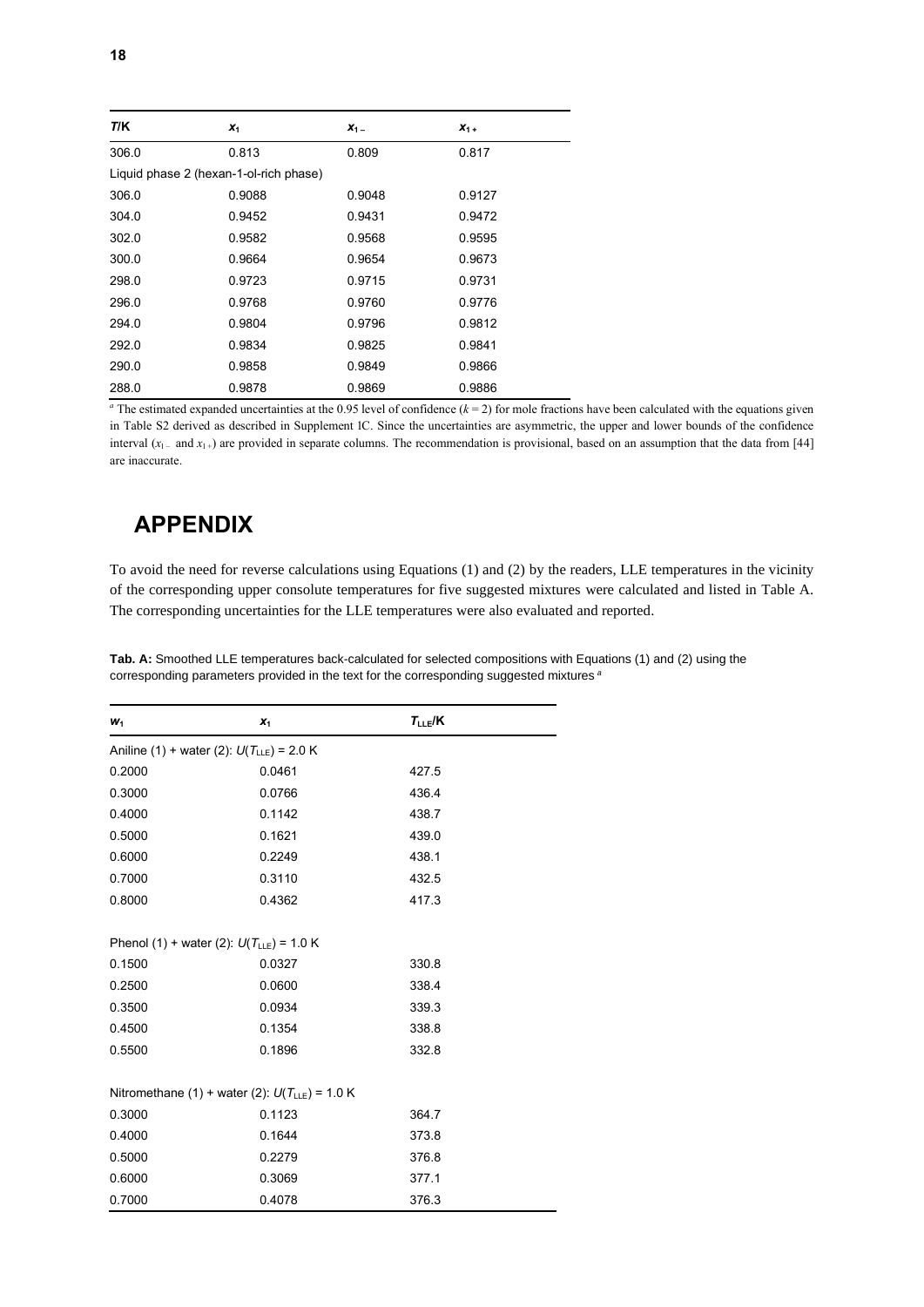| T/K                                    | $x_1$  | $X_1 -$ | $X_{1+}$ |
|----------------------------------------|--------|---------|----------|
| 306.0                                  | 0.813  | 0.809   | 0.817    |
| Liquid phase 2 (hexan-1-ol-rich phase) |        |         |          |
| 306.0                                  | 0.9088 | 0.9048  | 0.9127   |
| 304.0                                  | 0.9452 | 0.9431  | 0.9472   |
| 302.0                                  | 0.9582 | 0.9568  | 0.9595   |
| 300.0                                  | 0.9664 | 0.9654  | 0.9673   |
| 298.0                                  | 0.9723 | 0.9715  | 0.9731   |
| 296.0                                  | 0.9768 | 0.9760  | 0.9776   |
| 294.0                                  | 0.9804 | 0.9796  | 0.9812   |
| 292.0                                  | 0.9834 | 0.9825  | 0.9841   |
| 290.0                                  | 0.9858 | 0.9849  | 0.9866   |
| 288.0                                  | 0.9878 | 0.9869  | 0.9886   |

<sup>*a*</sup> The estimated expanded uncertainties at the 0.95 level of confidence  $(k = 2)$  for mole fractions have been calculated with the equations given in Table S2 derived as described in Supplement 1C. Since the uncertainties are asymmetric, the upper and lower bounds of the confidence interval  $(x_1 - \text{ and } x_1 +)$  are provided in separate columns. The recommendation is provisional, based on an assumption that the data from [44] are inaccurate.

### **APPENDIX**

To avoid the need for reverse calculations using Equations (1) and (2) by the readers, LLE temperatures in the vicinity of the corresponding upper consolute temperatures for five suggested mixtures were calculated and listed in Table A. The corresponding uncertainties for the LLE temperatures were also evaluated and reported.

| $W_1$                                              | $x_1$  | $T_{LLE}/K$ |  |  |  |
|----------------------------------------------------|--------|-------------|--|--|--|
| Aniline (1) + water (2): $U(T_{LLE}) = 2.0$ K      |        |             |  |  |  |
| 0.2000                                             | 0.0461 | 427.5       |  |  |  |
| 0.3000                                             | 0.0766 | 436.4       |  |  |  |
| 0.4000                                             | 0.1142 | 438.7       |  |  |  |
| 0.5000                                             | 0.1621 | 439.0       |  |  |  |
| 0.6000                                             | 0.2249 | 438.1       |  |  |  |
| 0.7000                                             | 0.3110 | 432.5       |  |  |  |
| 0.8000                                             | 0.4362 | 417.3       |  |  |  |
|                                                    |        |             |  |  |  |
| Phenol (1) + water (2): $U(T_{LLE}) = 1.0$ K       |        |             |  |  |  |
| 0.1500                                             | 0.0327 | 330.8       |  |  |  |
| 0.2500                                             | 0.0600 | 338.4       |  |  |  |
| 0.3500                                             | 0.0934 | 339.3       |  |  |  |
| 0.4500                                             | 0.1354 | 338.8       |  |  |  |
| 0.5500                                             | 0.1896 | 332.8       |  |  |  |
|                                                    |        |             |  |  |  |
| Nitromethane (1) + water (2): $U(T_{LLE}) = 1.0$ K |        |             |  |  |  |
| 0.3000                                             | 0.1123 | 364.7       |  |  |  |
| 0.4000                                             | 0.1644 | 373.8       |  |  |  |
| 0.5000                                             | 0.2279 | 376.8       |  |  |  |
| 0.6000                                             | 0.3069 | 377.1       |  |  |  |
| 0.7000                                             | 0.4078 | 376.3       |  |  |  |

**Tab. A:** Smoothed LLE temperatures back-calculated for selected compositions with Equations (1) and (2) using the corresponding parameters provided in the text for the corresponding suggested mixtures *<sup>a</sup>*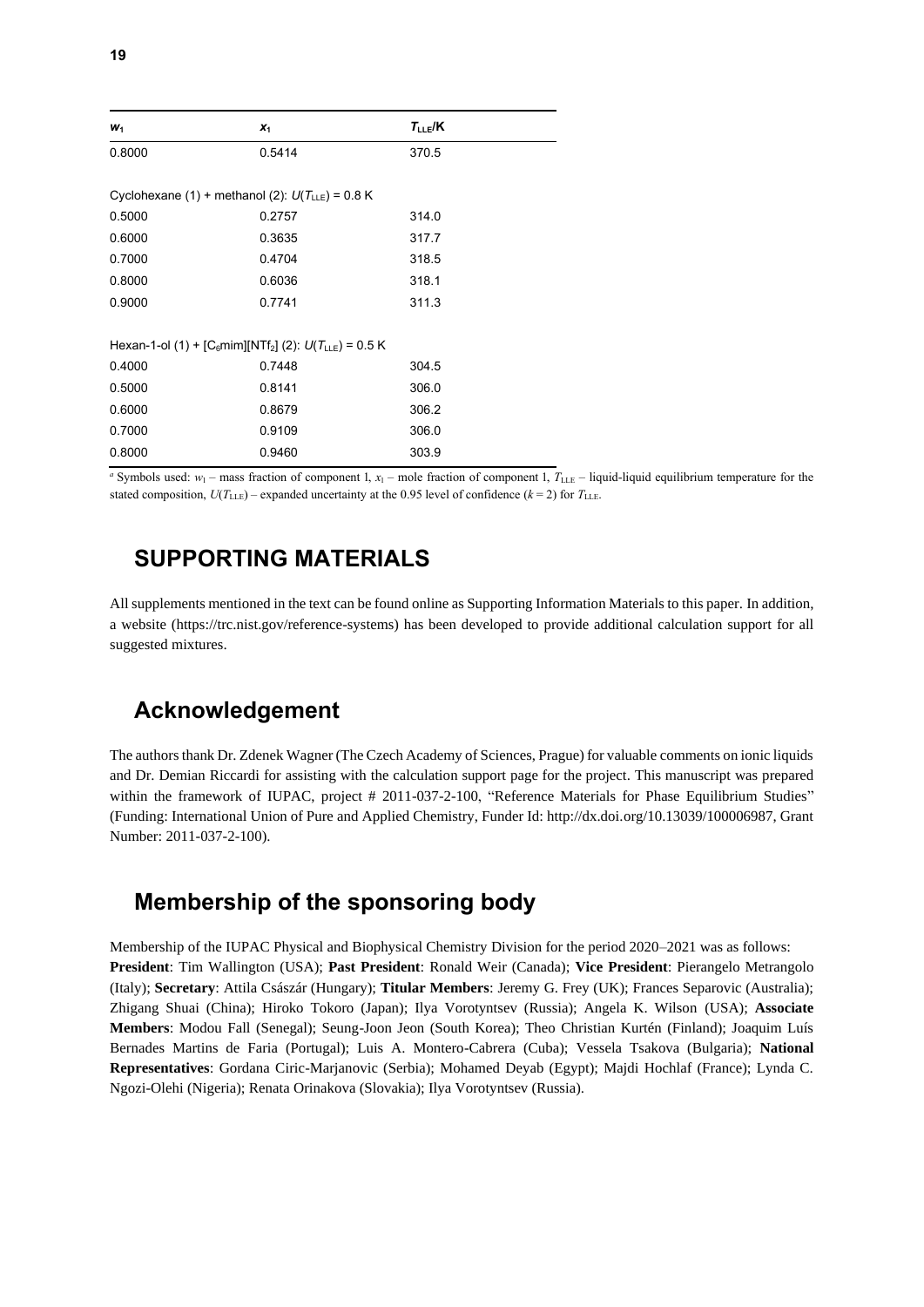| $W_1$                                                                              | $x_1$  | $T_{LLE}/K$ |
|------------------------------------------------------------------------------------|--------|-------------|
| 0.8000                                                                             | 0.5414 | 370.5       |
| Cyclohexane (1) + methanol (2): $U(T_{L E}) = 0.8$ K                               |        |             |
| 0.5000                                                                             | 0.2757 | 314.0       |
| 0.6000                                                                             | 0.3635 | 317.7       |
| 0.7000                                                                             | 0.4704 | 318.5       |
| 0.8000                                                                             | 0.6036 | 318.1       |
| 0.9000                                                                             | 0.7741 | 311.3       |
|                                                                                    |        |             |
| Hexan-1-ol (1) + [C <sub>6</sub> mim][NTf <sub>2</sub> ] (2): $U(T_{LLE}) = 0.5$ K |        |             |
| 0.4000                                                                             | 0.7448 | 304.5       |
| 0.5000                                                                             | 0.8141 | 306.0       |
| 0.6000                                                                             | 0.8679 | 306.2       |
| 0.7000                                                                             | 0.9109 | 306.0       |
| 0.8000                                                                             | 0.9460 | 303.9       |

*a* Symbols used:  $w_1$  – mass fraction of component 1,  $x_1$  – mole fraction of component 1,  $T_{\text{LLE}}$  – liquid-liquid equilibrium temperature for the stated composition,  $U(T_{\text{LLE}})$  – expanded uncertainty at the 0.95 level of confidence ( $k = 2$ ) for  $T_{\text{LLE}}$ .

### **SUPPORTING MATERIALS**

All supplements mentioned in the text can be found online as Supporting Information Materials to this paper. In addition, a website (https://trc.nist.gov/reference-systems) has been developed to provide additional calculation support for all suggested mixtures.

## **Acknowledgement**

The authors thank Dr. Zdenek Wagner (The Czech Academy of Sciences, Prague) for valuable comments on ionic liquids and Dr. Demian Riccardi for assisting with the calculation support page for the project. This manuscript was prepared within the framework of IUPAC, project # 2011-037-2-100, "Reference Materials for Phase Equilibrium Studies" (Funding: International Union of Pure and Applied Chemistry, Funder Id: http://dx.doi.org/10.13039/100006987, Grant Number: 2011-037-2-100).

## **Membership of the sponsoring body**

Membership of the IUPAC Physical and Biophysical Chemistry Division for the period 2020–2021 was as follows: **President**: Tim Wallington (USA); **Past President**: Ronald Weir (Canada); **Vice President**: Pierangelo Metrangolo (Italy); **Secretary**: Attila Császár (Hungary); **Titular Members**: Jeremy G. Frey (UK); Frances Separovic (Australia); Zhigang Shuai (China); Hiroko Tokoro (Japan); Ilya Vorotyntsev (Russia); Angela K. Wilson (USA); **Associate Members**: Modou Fall (Senegal); Seung-Joon Jeon (South Korea); Theo Christian Kurtén (Finland); Joaquim Luís Bernades Martins de Faria (Portugal); Luis A. Montero-Cabrera (Cuba); Vessela Tsakova (Bulgaria); **National Representatives**: Gordana Ciric-Marjanovic (Serbia); Mohamed Deyab (Egypt); Majdi Hochlaf (France); Lynda C. Ngozi-Olehi (Nigeria); Renata Orinakova (Slovakia); Ilya Vorotyntsev (Russia).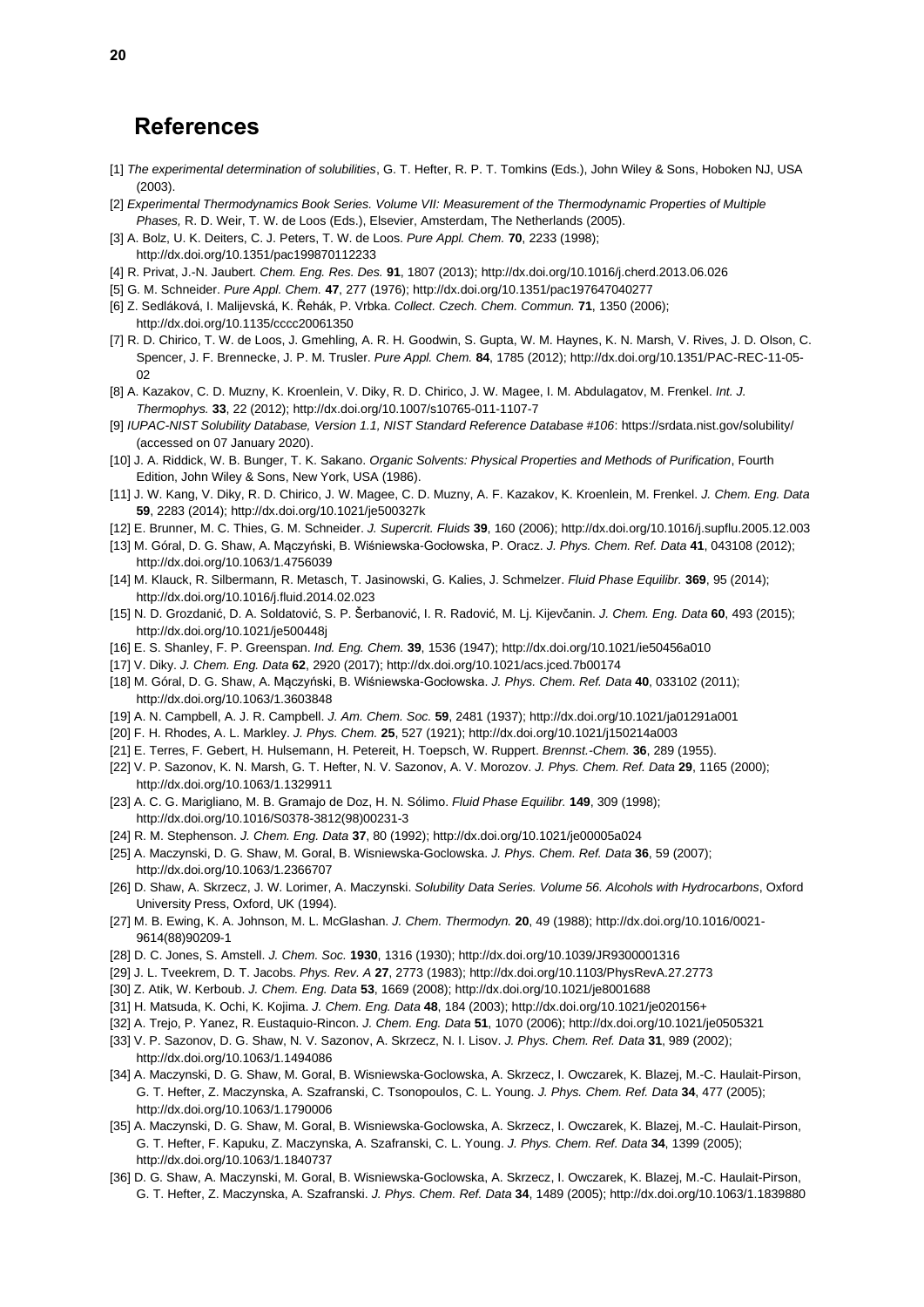### **References**

- [1] *The experimental determination of solubilities*, G. T. Hefter, R. P. T. Tomkins (Eds.), John Wiley & Sons, Hoboken NJ, USA (2003).
- [2] *Experimental Thermodynamics Book Series. Volume VII: Measurement of the Thermodynamic Properties of Multiple Phases,* R. D. Weir, T. W. de Loos (Eds.), Elsevier, Amsterdam, The Netherlands (2005).
- [3] A. Bolz, U. K. Deiters, C. J. Peters, T. W. de Loos. *Pure Appl. Chem.* **70**, 2233 (1998); http://dx.doi.org/10.1351/pac199870112233
- [4] R. Privat, J.-N. Jaubert. *Chem. Eng. Res. Des.* **91**, 1807 (2013); http://dx.doi.org/10.1016/j.cherd.2013.06.026
- [5] G. M. Schneider. *Pure Appl. Chem.* **47**, 277 (1976); http://dx.doi.org/10.1351/pac197647040277
- [6] Z. Sedláková, I. Malijevská, K. Řehák, P. Vrbka. *Collect. Czech. Chem. Commun.* **71**, 1350 (2006); http://dx.doi.org/10.1135/cccc20061350
- [7] R. D. Chirico, T. W. de Loos, J. Gmehling, A. R. H. Goodwin, S. Gupta, W. M. Haynes, K. N. Marsh, V. Rives, J. D. Olson, C. Spencer, J. F. Brennecke, J. P. M. Trusler. *Pure Appl. Chem.* **84**, 1785 (2012); http://dx.doi.org/10.1351/PAC-REC-11-05- 0<sub>2</sub>
- [8] A. Kazakov, C. D. Muzny, K. Kroenlein, V. Diky, R. D. Chirico, J. W. Magee, I. M. Abdulagatov, M. Frenkel. *Int. J. Thermophys.* **33**, 22 (2012); http://dx.doi.org/10.1007/s10765-011-1107-7
- [9] *IUPAC-NIST Solubility Database, Version 1.1, NIST Standard Reference Database #106*: https://srdata.nist.gov/solubility/ (accessed on 07 January 2020).
- [10] J. A. Riddick, W. B. Bunger, T. K. Sakano. *Organic Solvents: Physical Properties and Methods of Purification*, Fourth Edition, John Wiley & Sons, New York, USA (1986).
- [11] J. W. Kang, V. Diky, R. D. Chirico, J. W. Magee, C. D. Muzny, A. F. Kazakov, K. Kroenlein, M. Frenkel. *J. Chem. Eng. Data* **59**, 2283 (2014); http://dx.doi.org/10.1021/je500327k
- [12] E. Brunner, M. C. Thies, G. M. Schneider. *J. Supercrit. Fluids* **39**, 160 (2006); http://dx.doi.org/10.1016/j.supflu.2005.12.003
- [13] M. Góral, D. G. Shaw, A. Mączyński, B. Wiśniewska-Gocłowska, P. Oracz. *J. Phys. Chem. Ref. Data* **41**, 043108 (2012); http://dx.doi.org/10.1063/1.4756039
- [14] M. Klauck, R. Silbermann, R. Metasch, T. Jasinowski, G. Kalies, J. Schmelzer. *Fluid Phase Equilibr.* **369**, 95 (2014); http://dx.doi.org/10.1016/j.fluid.2014.02.023
- [15] N. D. Grozdanić, D. A. Soldatović, S. P. Šerbanović, I. R. Radović, M. Lj. Kijevčanin. *J. Chem. Eng. Data* **60**, 493 (2015); http://dx.doi.org/10.1021/je500448j
- [16] E. S. Shanley, F. P. Greenspan. *Ind. Eng. Chem.* **39**, 1536 (1947); http://dx.doi.org/10.1021/ie50456a010
- [17] V. Diky. *J. Chem. Eng. Data* **62**, 2920 (2017); http://dx.doi.org/10.1021/acs.jced.7b00174
- [18] M. Góral, D. G. Shaw, A. Mączyński, B. Wiśniewska-Gocłowska. *J. Phys. Chem. Ref. Data* **40**, 033102 (2011); http://dx.doi.org/10.1063/1.3603848
- [19] A. N. Campbell, A. J. R. Campbell. *J. Am. Chem. Soc.* **59**, 2481 (1937); http://dx.doi.org/10.1021/ja01291a001
- [20] F. H. Rhodes, A. L. Markley. *J. Phys. Chem.* **25**, 527 (1921); http://dx.doi.org/10.1021/j150214a003
- [21] E. Terres, F. Gebert, H. Hulsemann, H. Petereit, H. Toepsch, W. Ruppert. *Brennst.-Chem.* **36**, 289 (1955).
- [22] V. P. Sazonov, K. N. Marsh, G. T. Hefter, N. V. Sazonov, A. V. Morozov. *J. Phys. Chem. Ref. Data* **29**, 1165 (2000); http://dx.doi.org/10.1063/1.1329911
- [23] A. C. G. Marigliano, M. B. Gramajo de Doz, H. N. Sólimo. *Fluid Phase Equilibr.* **149**, 309 (1998); http://dx.doi.org/10.1016/S0378-3812(98)00231-3
- [24] R. M. Stephenson. *J. Chem. Eng. Data* **37**, 80 (1992); http://dx.doi.org/10.1021/je00005a024
- [25] A. Maczynski, D. G. Shaw, M. Goral, B. Wisniewska-Goclowska. *J. Phys. Chem. Ref. Data* **36**, 59 (2007); http://dx.doi.org/10.1063/1.2366707
- [26] D. Shaw, A. Skrzecz, J. W. Lorimer, A. Maczynski. *Solubility Data Series. Volume 56. Alcohols with Hydrocarbons*, Oxford University Press, Oxford, UK (1994).
- [27] M. B. Ewing, K. A. Johnson, M. L. McGlashan. *J. Chem. Thermodyn.* **20**, 49 (1988); http://dx.doi.org/10.1016/0021- 9614(88)90209-1
- [28] D. C. Jones, S. Amstell. *J. Chem. Soc.* **1930**, 1316 (1930); http://dx.doi.org/10.1039/JR9300001316
- [29] J. L. Tveekrem, D. T. Jacobs. *Phys. Rev. A* **27**, 2773 (1983); http://dx.doi.org/10.1103/PhysRevA.27.2773
- [30] Z. Atik, W. Kerboub. *J. Chem. Eng. Data* **53**, 1669 (2008); http://dx.doi.org/10.1021/je8001688
- [31] H. Matsuda, K. Ochi, K. Kojima. *J. Chem. Eng. Data* **48**, 184 (2003); http://dx.doi.org/10.1021/je020156+
- [32] A. Trejo, P. Yanez, R. Eustaquio-Rincon. *J. Chem. Eng. Data* **51**, 1070 (2006); http://dx.doi.org/10.1021/je0505321
- [33] V. P. Sazonov, D. G. Shaw, N. V. Sazonov, A. Skrzecz, N. I. Lisov. *J. Phys. Chem. Ref. Data* **31**, 989 (2002); http://dx.doi.org/10.1063/1.1494086
- [34] A. Maczynski, D. G. Shaw, M. Goral, B. Wisniewska-Goclowska, A. Skrzecz, I. Owczarek, K. Blazej, M.-C. Haulait-Pirson, G. T. Hefter, Z. Maczynska, A. Szafranski, C. Tsonopoulos, C. L. Young. *J. Phys. Chem. Ref. Data* **34**, 477 (2005); http://dx.doi.org/10.1063/1.1790006
- [35] A. Maczynski, D. G. Shaw, M. Goral, B. Wisniewska-Goclowska, A. Skrzecz, I. Owczarek, K. Blazej, M.-C. Haulait-Pirson, G. T. Hefter, F. Kapuku, Z. Maczynska, A. Szafranski, C. L. Young. *J. Phys. Chem. Ref. Data* **34**, 1399 (2005); http://dx.doi.org/10.1063/1.1840737
- [36] D. G. Shaw, A. Maczynski, M. Goral, B. Wisniewska-Goclowska, A. Skrzecz, I. Owczarek, K. Blazej, M.-C. Haulait-Pirson, G. T. Hefter, Z. Maczynska, A. Szafranski. *J. Phys. Chem. Ref. Data* **34**, 1489 (2005); http://dx.doi.org/10.1063/1.1839880